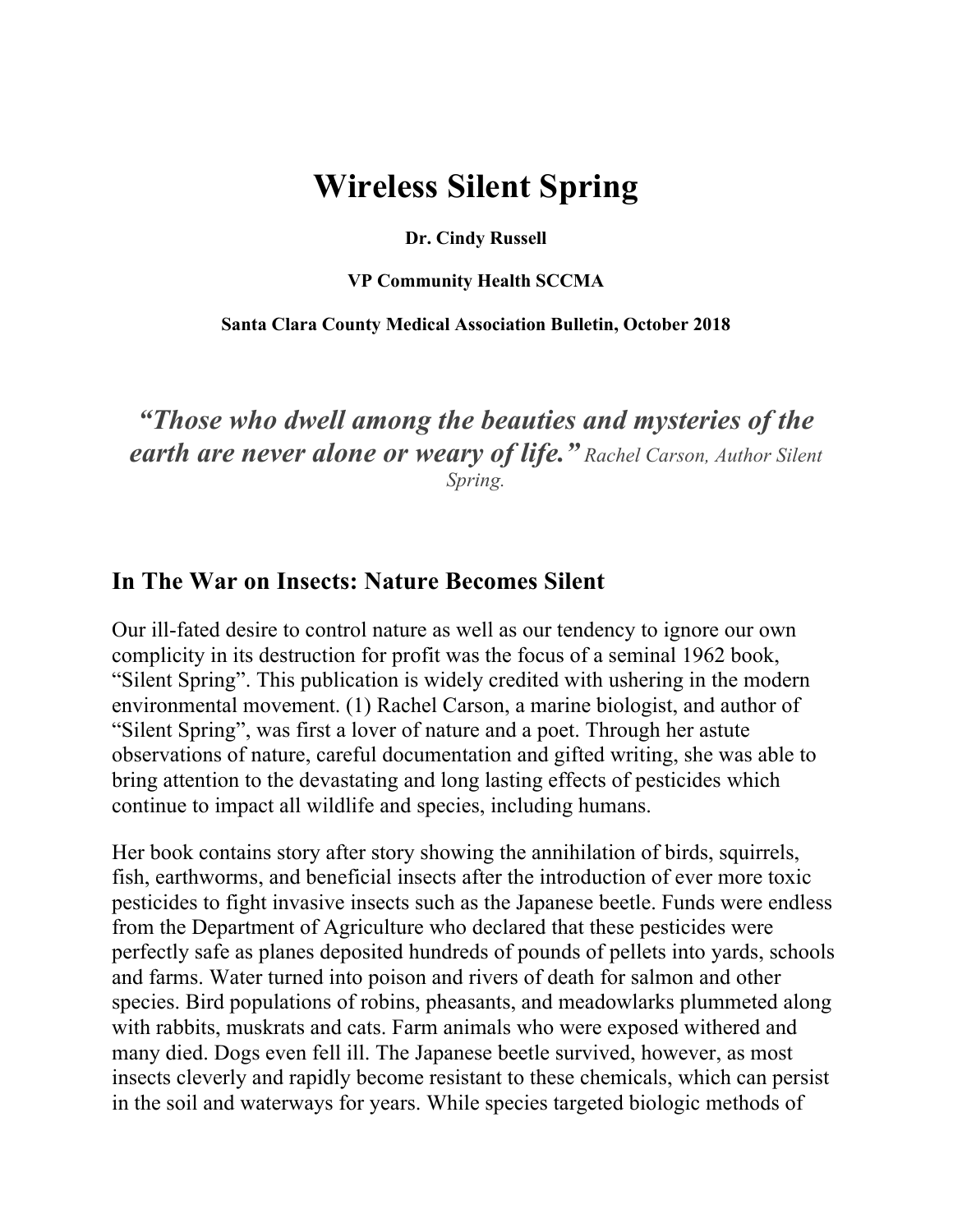# **Wireless Silent Spring**

**Dr. Cindy Russell**

**VP Community Health SCCMA**

**Santa Clara County Medical Association Bulletin, October 2018**

### *"Those who dwell among the beauties and mysteries of the earth are never alone or weary of life." Rachel Carson, Author Silent Spring.*

### **In The War on Insects: Nature Becomes Silent**

Our ill-fated desire to control nature as well as our tendency to ignore our own complicity in its destruction for profit was the focus of a seminal 1962 book, "Silent Spring". This publication is widely credited with ushering in the modern environmental movement. (1) Rachel Carson, a marine biologist, and author of "Silent Spring", was first a lover of nature and a poet. Through her astute observations of nature, careful documentation and gifted writing, she was able to bring attention to the devastating and long lasting effects of pesticides which continue to impact all wildlife and species, including humans.

Her book contains story after story showing the annihilation of birds, squirrels, fish, earthworms, and beneficial insects after the introduction of ever more toxic pesticides to fight invasive insects such as the Japanese beetle. Funds were endless from the Department of Agriculture who declared that these pesticides were perfectly safe as planes deposited hundreds of pounds of pellets into yards, schools and farms. Water turned into poison and rivers of death for salmon and other species. Bird populations of robins, pheasants, and meadowlarks plummeted along with rabbits, muskrats and cats. Farm animals who were exposed withered and many died. Dogs even fell ill. The Japanese beetle survived, however, as most insects cleverly and rapidly become resistant to these chemicals, which can persist in the soil and waterways for years. While species targeted biologic methods of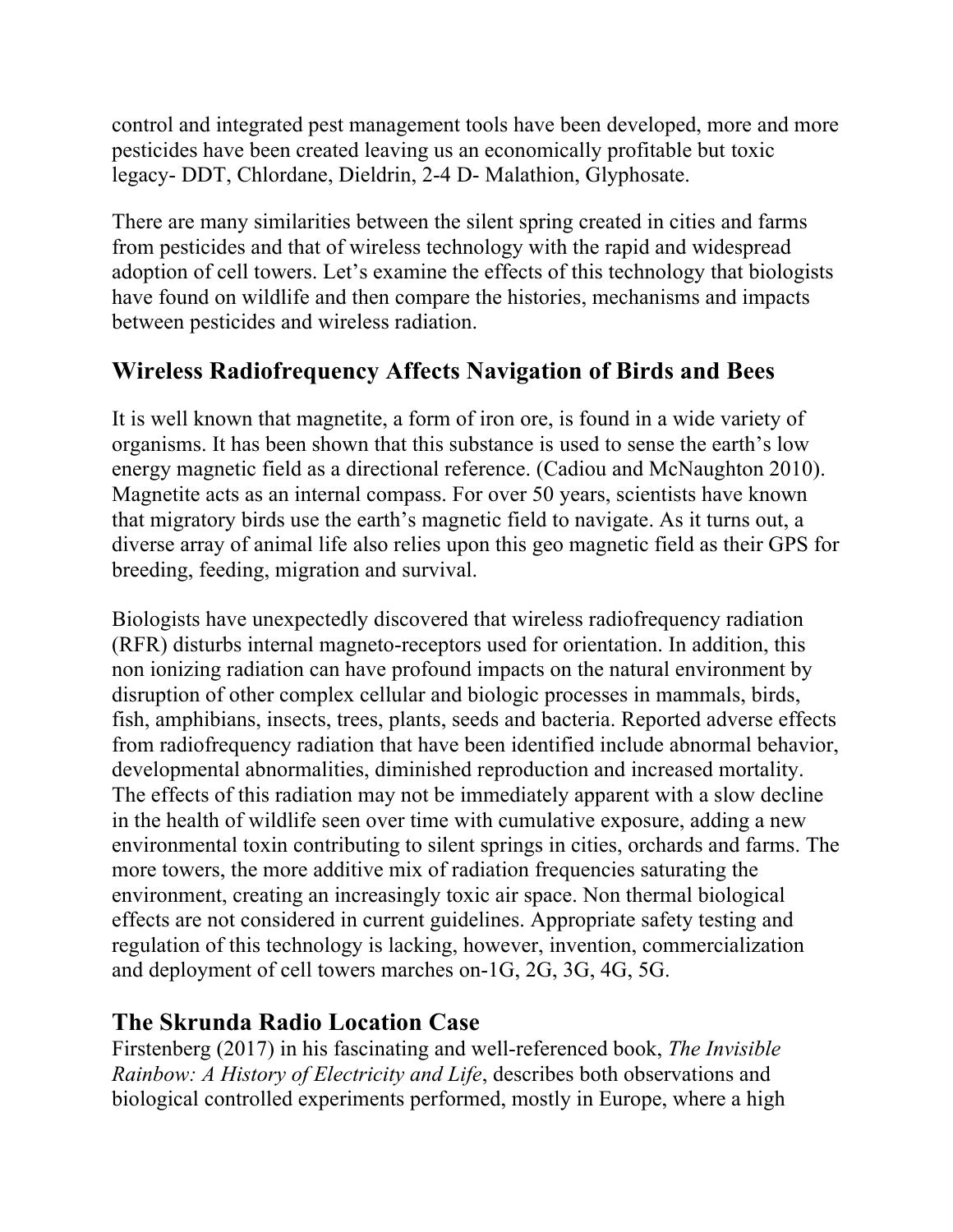control and integrated pest management tools have been developed, more and more pesticides have been created leaving us an economically profitable but toxic legacy- DDT, Chlordane, Dieldrin, 2-4 D- Malathion, Glyphosate.

There are many similarities between the silent spring created in cities and farms from pesticides and that of wireless technology with the rapid and widespread adoption of cell towers. Let's examine the effects of this technology that biologists have found on wildlife and then compare the histories, mechanisms and impacts between pesticides and wireless radiation.

# **Wireless Radiofrequency Affects Navigation of Birds and Bees**

It is well known that magnetite, a form of iron ore, is found in a wide variety of organisms. It has been shown that this substance is used to sense the earth's low energy magnetic field as a directional reference. (Cadiou and McNaughton 2010). Magnetite acts as an internal compass. For over 50 years, scientists have known that migratory birds use the earth's magnetic field to navigate. As it turns out, a diverse array of animal life also relies upon this geo magnetic field as their GPS for breeding, feeding, migration and survival.

Biologists have unexpectedly discovered that wireless radiofrequency radiation (RFR) disturbs internal magneto-receptors used for orientation. In addition, this non ionizing radiation can have profound impacts on the natural environment by disruption of other complex cellular and biologic processes in mammals, birds, fish, amphibians, insects, trees, plants, seeds and bacteria. Reported adverse effects from radiofrequency radiation that have been identified include abnormal behavior, developmental abnormalities, diminished reproduction and increased mortality. The effects of this radiation may not be immediately apparent with a slow decline in the health of wildlife seen over time with cumulative exposure, adding a new environmental toxin contributing to silent springs in cities, orchards and farms. The more towers, the more additive mix of radiation frequencies saturating the environment, creating an increasingly toxic air space. Non thermal biological effects are not considered in current guidelines. Appropriate safety testing and regulation of this technology is lacking, however, invention, commercialization and deployment of cell towers marches on-1G, 2G, 3G, 4G, 5G.

# **The Skrunda Radio Location Case**

Firstenberg (2017) in his fascinating and well-referenced book, *The Invisible Rainbow: A History of Electricity and Life*, describes both observations and biological controlled experiments performed, mostly in Europe, where a high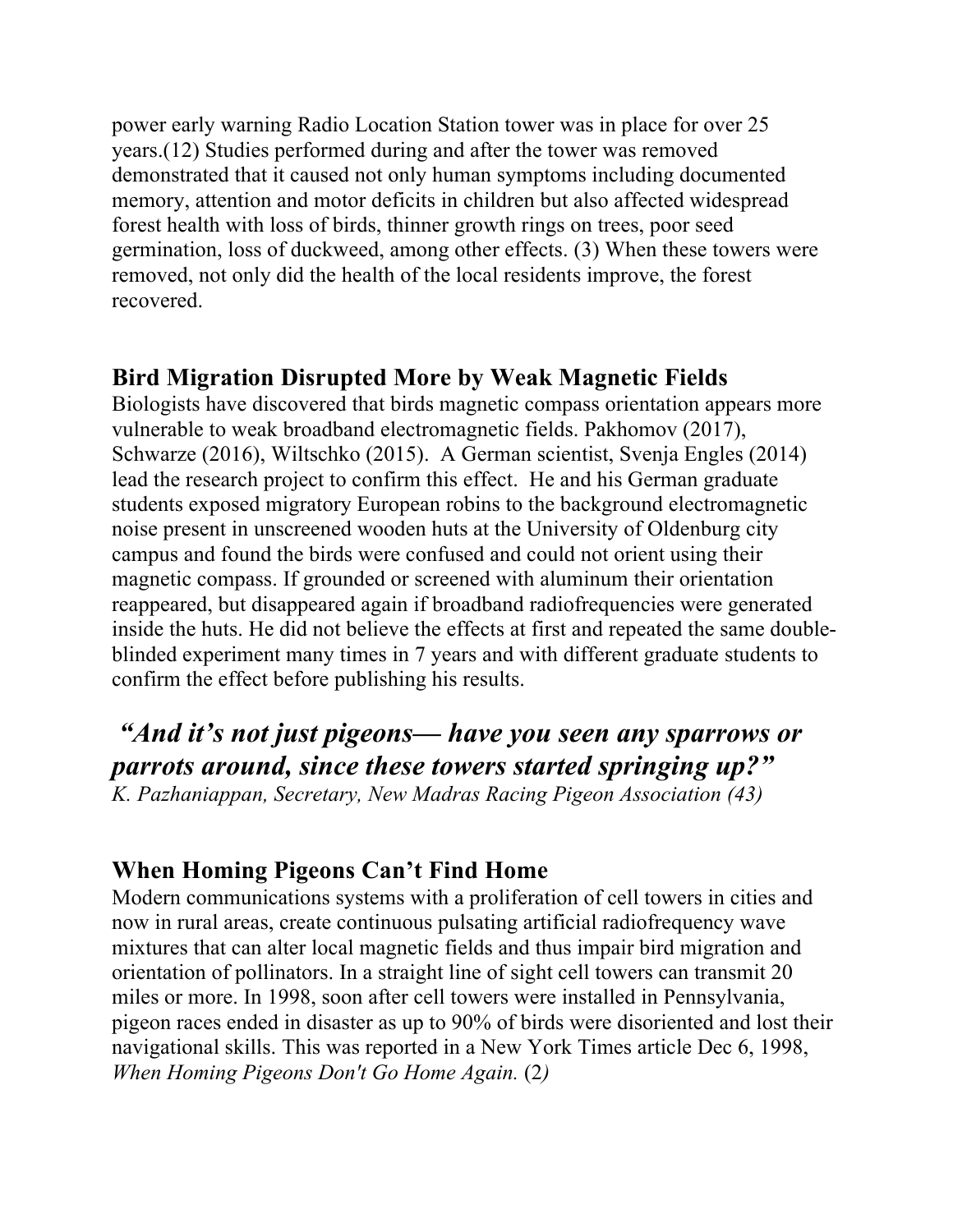power early warning Radio Location Station tower was in place for over 25 years.(12) Studies performed during and after the tower was removed demonstrated that it caused not only human symptoms including documented memory, attention and motor deficits in children but also affected widespread forest health with loss of birds, thinner growth rings on trees, poor seed germination, loss of duckweed, among other effects. (3) When these towers were removed, not only did the health of the local residents improve, the forest recovered.

### **Bird Migration Disrupted More by Weak Magnetic Fields**

Biologists have discovered that birds magnetic compass orientation appears more vulnerable to weak broadband electromagnetic fields. Pakhomov (2017), Schwarze (2016), Wiltschko (2015). A German scientist, Svenja Engles (2014) lead the research project to confirm this effect. He and his German graduate students exposed migratory European robins to the background electromagnetic noise present in unscreened wooden huts at the University of Oldenburg city campus and found the birds were confused and could not orient using their magnetic compass. If grounded or screened with aluminum their orientation reappeared, but disappeared again if broadband radiofrequencies were generated inside the huts. He did not believe the effects at first and repeated the same doubleblinded experiment many times in 7 years and with different graduate students to confirm the effect before publishing his results.

*"And it's not just pigeons— have you seen any sparrows or parrots around, since these towers started springing up?" K. Pazhaniappan, Secretary, New Madras Racing Pigeon Association (43)* 

### **When Homing Pigeons Can't Find Home**

Modern communications systems with a proliferation of cell towers in cities and now in rural areas, create continuous pulsating artificial radiofrequency wave mixtures that can alter local magnetic fields and thus impair bird migration and orientation of pollinators. In a straight line of sight cell towers can transmit 20 miles or more. In 1998, soon after cell towers were installed in Pennsylvania, pigeon races ended in disaster as up to 90% of birds were disoriented and lost their navigational skills. This was reported in a New York Times article Dec 6, 1998, *When Homing Pigeons Don't Go Home Again.* (2*)*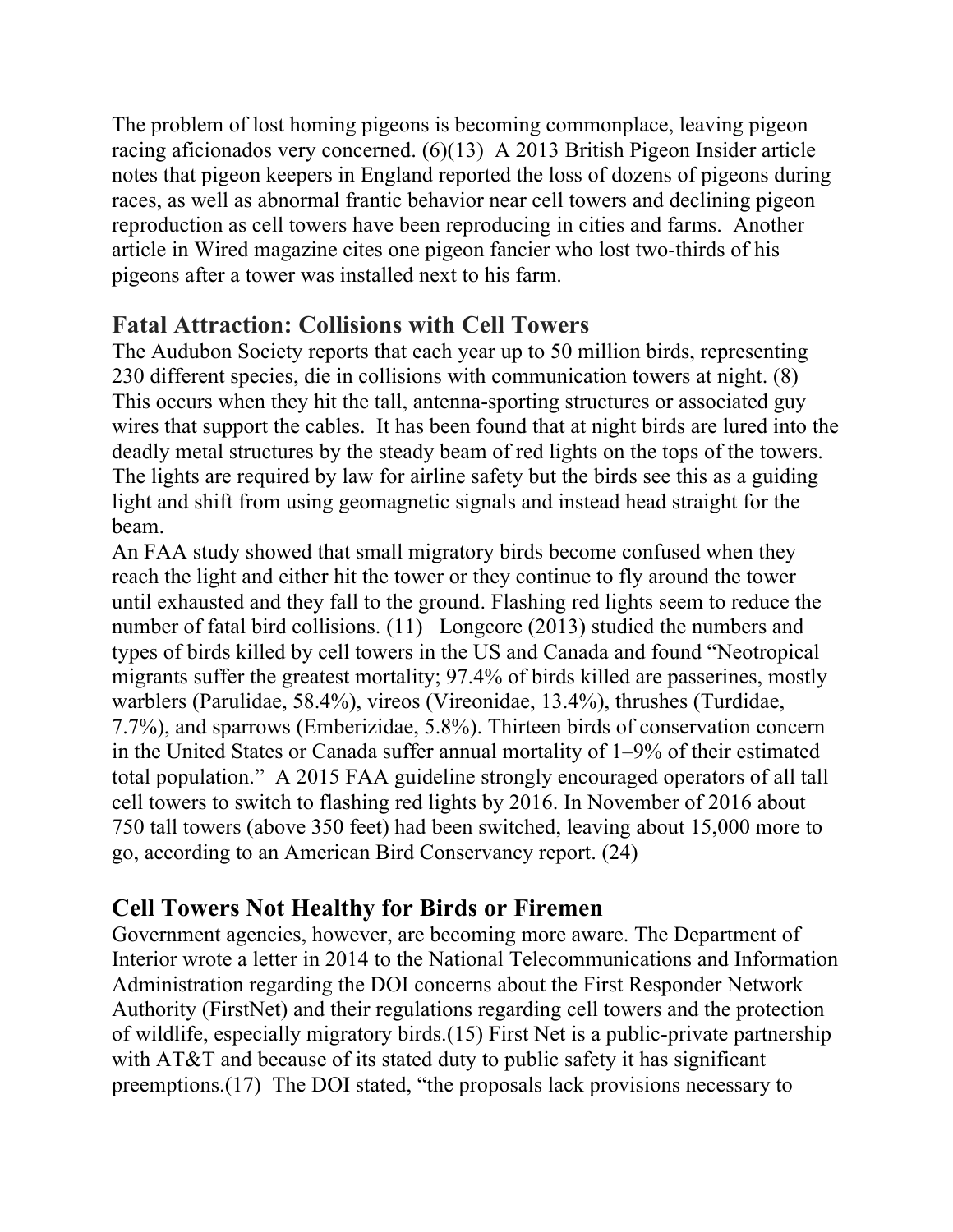The problem of lost homing pigeons is becoming commonplace, leaving pigeon racing aficionados very concerned. (6)(13) A 2013 British Pigeon Insider article notes that pigeon keepers in England reported the loss of dozens of pigeons during races, as well as abnormal frantic behavior near cell towers and declining pigeon reproduction as cell towers have been reproducing in cities and farms. Another article in Wired magazine cites one pigeon fancier who lost two-thirds of his pigeons after a tower was installed next to his farm.

### **Fatal Attraction: Collisions with Cell Towers**

The Audubon Society reports that each year up to 50 million birds, representing 230 different species, die in collisions with communication towers at night. (8) This occurs when they hit the tall, antenna-sporting structures or associated guy wires that support the cables. It has been found that at night birds are lured into the deadly metal structures by the steady beam of red lights on the tops of the towers. The lights are required by law for airline safety but the birds see this as a guiding light and shift from using geomagnetic signals and instead head straight for the beam.

An FAA study showed that small migratory birds become confused when they reach the light and either hit the tower or they continue to fly around the tower until exhausted and they fall to the ground. Flashing red lights seem to reduce the number of fatal bird collisions. (11) Longcore (2013) studied the numbers and types of birds killed by cell towers in the US and Canada and found "Neotropical migrants suffer the greatest mortality; 97.4% of birds killed are passerines, mostly warblers (Parulidae, 58.4%), vireos (Vireonidae, 13.4%), thrushes (Turdidae, 7.7%), and sparrows (Emberizidae, 5.8%). Thirteen birds of conservation concern in the United States or Canada suffer annual mortality of 1–9% of their estimated total population." A 2015 FAA guideline strongly encouraged operators of all tall cell towers to switch to flashing red lights by 2016. In November of 2016 about 750 tall towers (above 350 feet) had been switched, leaving about 15,000 more to go, according to an American Bird Conservancy report. (24)

# **Cell Towers Not Healthy for Birds or Firemen**

Government agencies, however, are becoming more aware. The Department of Interior wrote a letter in 2014 to the National Telecommunications and Information Administration regarding the DOI concerns about the First Responder Network Authority (FirstNet) and their regulations regarding cell towers and the protection of wildlife, especially migratory birds.(15) First Net is a public-private partnership with AT&T and because of its stated duty to public safety it has significant preemptions.(17) The DOI stated, "the proposals lack provisions necessary to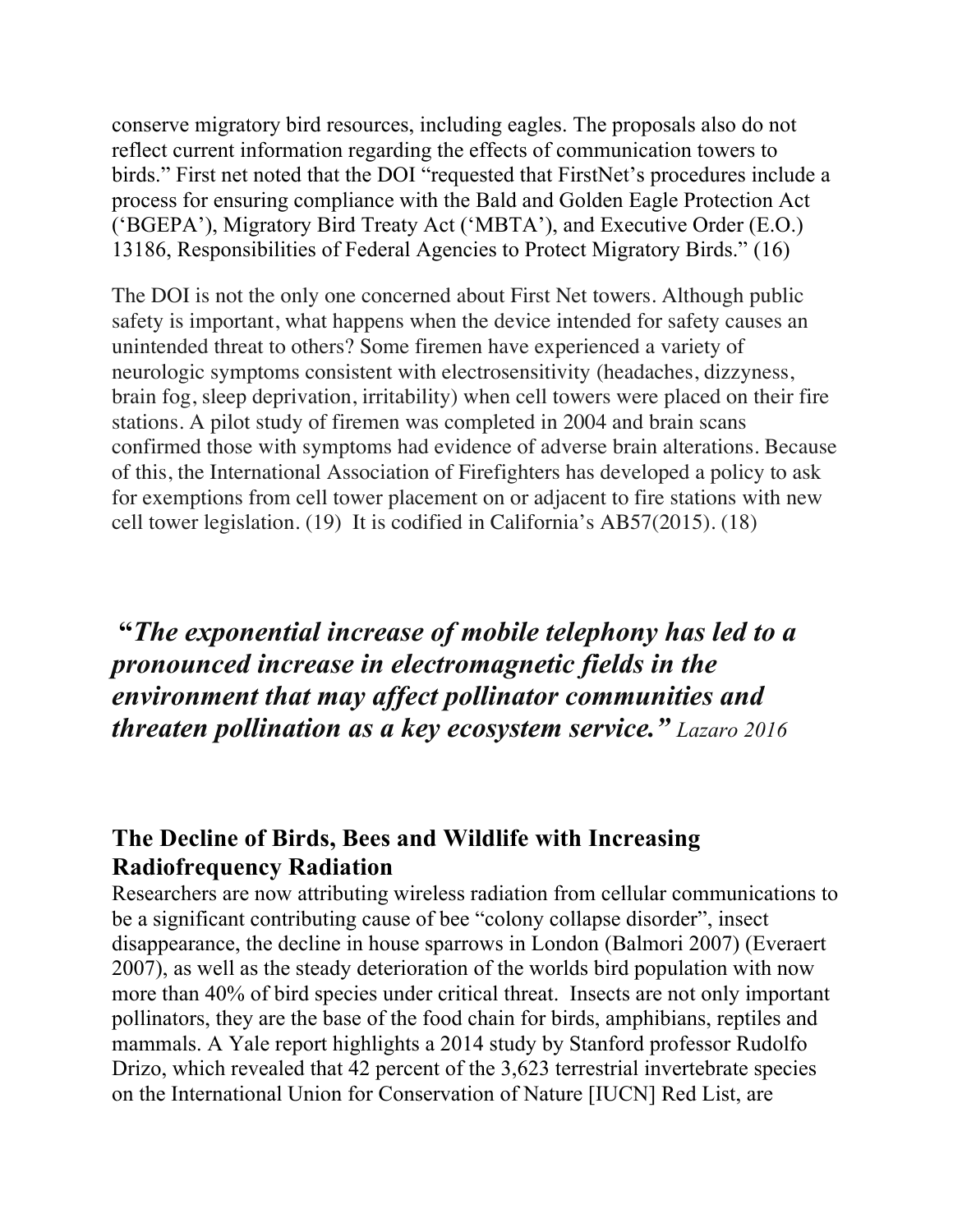conserve migratory bird resources, including eagles. The proposals also do not reflect current information regarding the effects of communication towers to birds." First net noted that the DOI "requested that FirstNet's procedures include a process for ensuring compliance with the Bald and Golden Eagle Protection Act ('BGEPA'), Migratory Bird Treaty Act ('MBTA'), and Executive Order (E.O.) 13186, Responsibilities of Federal Agencies to Protect Migratory Birds." (16)

The DOI is not the only one concerned about First Net towers. Although public safety is important, what happens when the device intended for safety causes an unintended threat to others? Some firemen have experienced a variety of neurologic symptoms consistent with electrosensitivity (headaches, dizzyness, brain fog, sleep deprivation, irritability) when cell towers were placed on their fire stations. A pilot study of firemen was completed in 2004 and brain scans confirmed those with symptoms had evidence of adverse brain alterations. Because of this, the International Association of Firefighters has developed a policy to ask for exemptions from cell tower placement on or adjacent to fire stations with new cell tower legislation. (19) It is codified in California's AB57(2015). (18)

**"***The exponential increase of mobile telephony has led to a pronounced increase in electromagnetic fields in the environment that may affect pollinator communities and threaten pollination as a key ecosystem service." Lazaro 2016*

### **The Decline of Birds, Bees and Wildlife with Increasing Radiofrequency Radiation**

Researchers are now attributing wireless radiation from cellular communications to be a significant contributing cause of bee "colony collapse disorder", insect disappearance, the decline in house sparrows in London (Balmori 2007) (Everaert 2007), as well as the steady deterioration of the worlds bird population with now more than 40% of bird species under critical threat. Insects are not only important pollinators, they are the base of the food chain for birds, amphibians, reptiles and mammals. A Yale report highlights a 2014 study by Stanford professor Rudolfo Drizo, which revealed that 42 percent of the 3,623 terrestrial invertebrate species on the International Union for Conservation of Nature [IUCN] Red List, are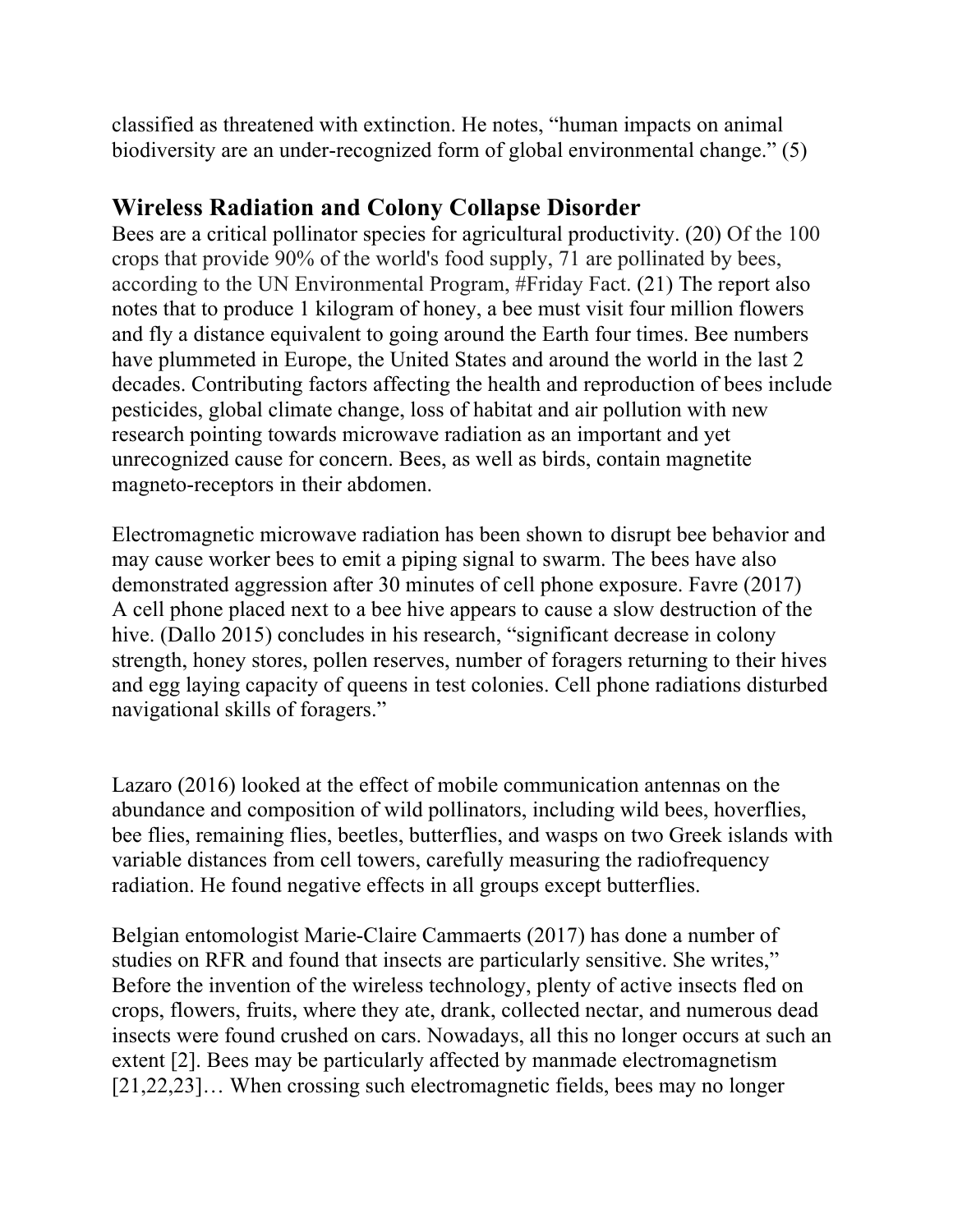classified as threatened with extinction. He notes, "human impacts on animal biodiversity are an under-recognized form of global environmental change." (5)

### **Wireless Radiation and Colony Collapse Disorder**

Bees are a critical pollinator species for agricultural productivity. (20) Of the 100 crops that provide 90% of the world's food supply, 71 are pollinated by bees, according to the UN Environmental Program, #Friday Fact. (21) The report also notes that to produce 1 kilogram of honey, a bee must visit four million flowers and fly a distance equivalent to going around the Earth four times. Bee numbers have plummeted in Europe, the United States and around the world in the last 2 decades. Contributing factors affecting the health and reproduction of bees include pesticides, global climate change, loss of habitat and air pollution with new research pointing towards microwave radiation as an important and yet unrecognized cause for concern. Bees, as well as birds, contain magnetite magneto-receptors in their abdomen.

Electromagnetic microwave radiation has been shown to disrupt bee behavior and may cause worker bees to emit a piping signal to swarm. The bees have also demonstrated aggression after 30 minutes of cell phone exposure. Favre (2017) A cell phone placed next to a bee hive appears to cause a slow destruction of the hive. (Dallo 2015) concludes in his research, "significant decrease in colony strength, honey stores, pollen reserves, number of foragers returning to their hives and egg laying capacity of queens in test colonies. Cell phone radiations disturbed navigational skills of foragers."

Lazaro (2016) looked at the effect of mobile communication antennas on the abundance and composition of wild pollinators, including wild bees, hoverflies, bee flies, remaining flies, beetles, butterflies, and wasps on two Greek islands with variable distances from cell towers, carefully measuring the radiofrequency radiation. He found negative effects in all groups except butterflies.

Belgian entomologist Marie-Claire Cammaerts (2017) has done a number of studies on RFR and found that insects are particularly sensitive. She writes," Before the invention of the wireless technology, plenty of active insects fled on crops, flowers, fruits, where they ate, drank, collected nectar, and numerous dead insects were found crushed on cars. Nowadays, all this no longer occurs at such an extent [2]. Bees may be particularly affected by manmade electromagnetism [21,22,23]... When crossing such electromagnetic fields, bees may no longer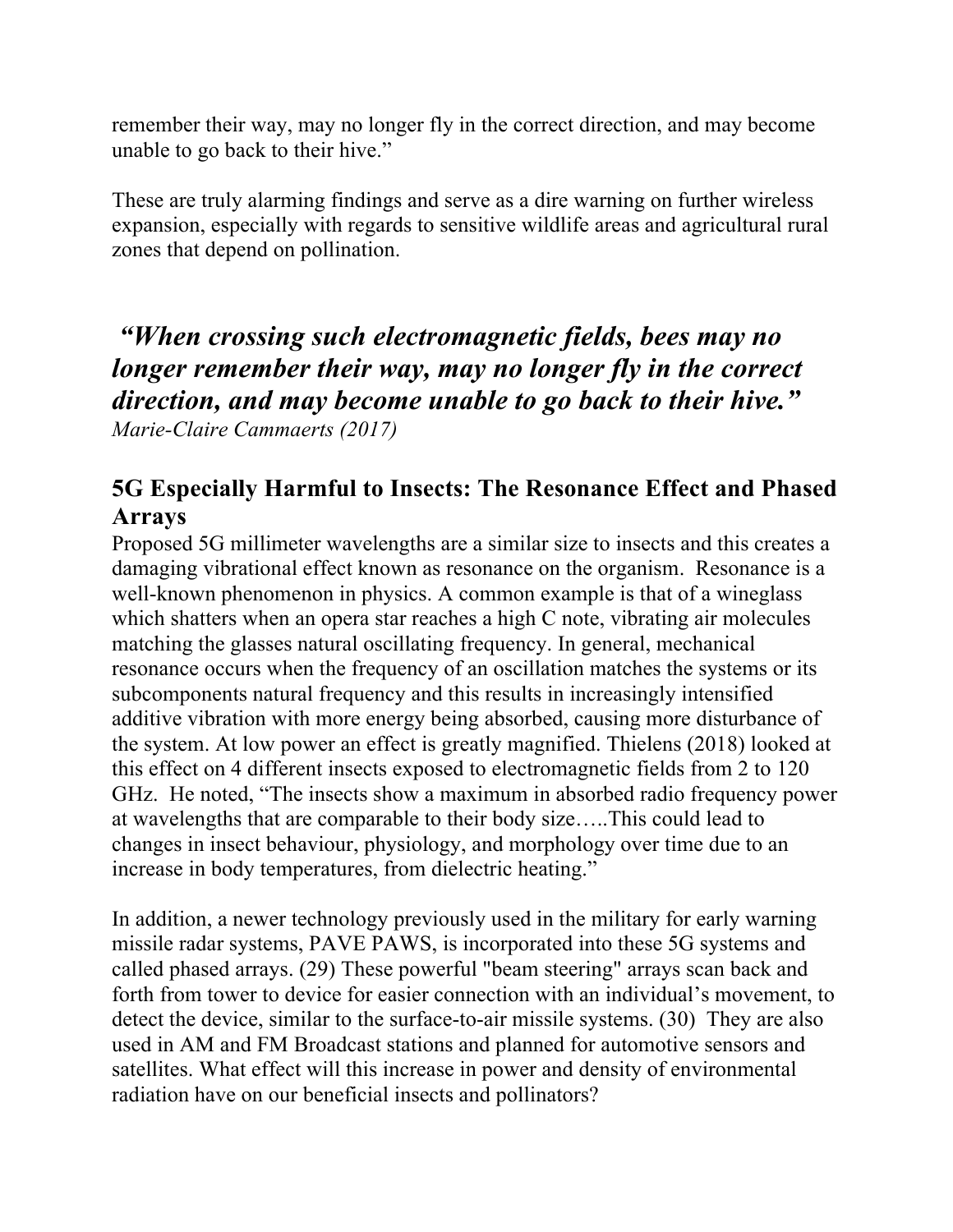remember their way, may no longer fly in the correct direction, and may become unable to go back to their hive."

These are truly alarming findings and serve as a dire warning on further wireless expansion, especially with regards to sensitive wildlife areas and agricultural rural zones that depend on pollination.

*"When crossing such electromagnetic fields, bees may no longer remember their way, may no longer fly in the correct direction, and may become unable to go back to their hive." Marie-Claire Cammaerts (2017)*

# **5G Especially Harmful to Insects: The Resonance Effect and Phased Arrays**

Proposed 5G millimeter wavelengths are a similar size to insects and this creates a damaging vibrational effect known as resonance on the organism. Resonance is a well-known phenomenon in physics. A common example is that of a wineglass which shatters when an opera star reaches a high C note, vibrating air molecules matching the glasses natural oscillating frequency. In general, mechanical resonance occurs when the frequency of an oscillation matches the systems or its subcomponents natural frequency and this results in increasingly intensified additive vibration with more energy being absorbed, causing more disturbance of the system. At low power an effect is greatly magnified. Thielens (2018) looked at this effect on 4 different insects exposed to electromagnetic fields from 2 to 120 GHz. He noted, "The insects show a maximum in absorbed radio frequency power at wavelengths that are comparable to their body size…..This could lead to changes in insect behaviour, physiology, and morphology over time due to an increase in body temperatures, from dielectric heating."

In addition, a newer technology previously used in the military for early warning missile radar systems, PAVE PAWS, is incorporated into these 5G systems and called phased arrays. (29) These powerful "beam steering" arrays scan back and forth from tower to device for easier connection with an individual's movement, to detect the device, similar to the surface-to-air missile systems. (30) They are also used in AM and FM Broadcast stations and planned for automotive sensors and satellites. What effect will this increase in power and density of environmental radiation have on our beneficial insects and pollinators?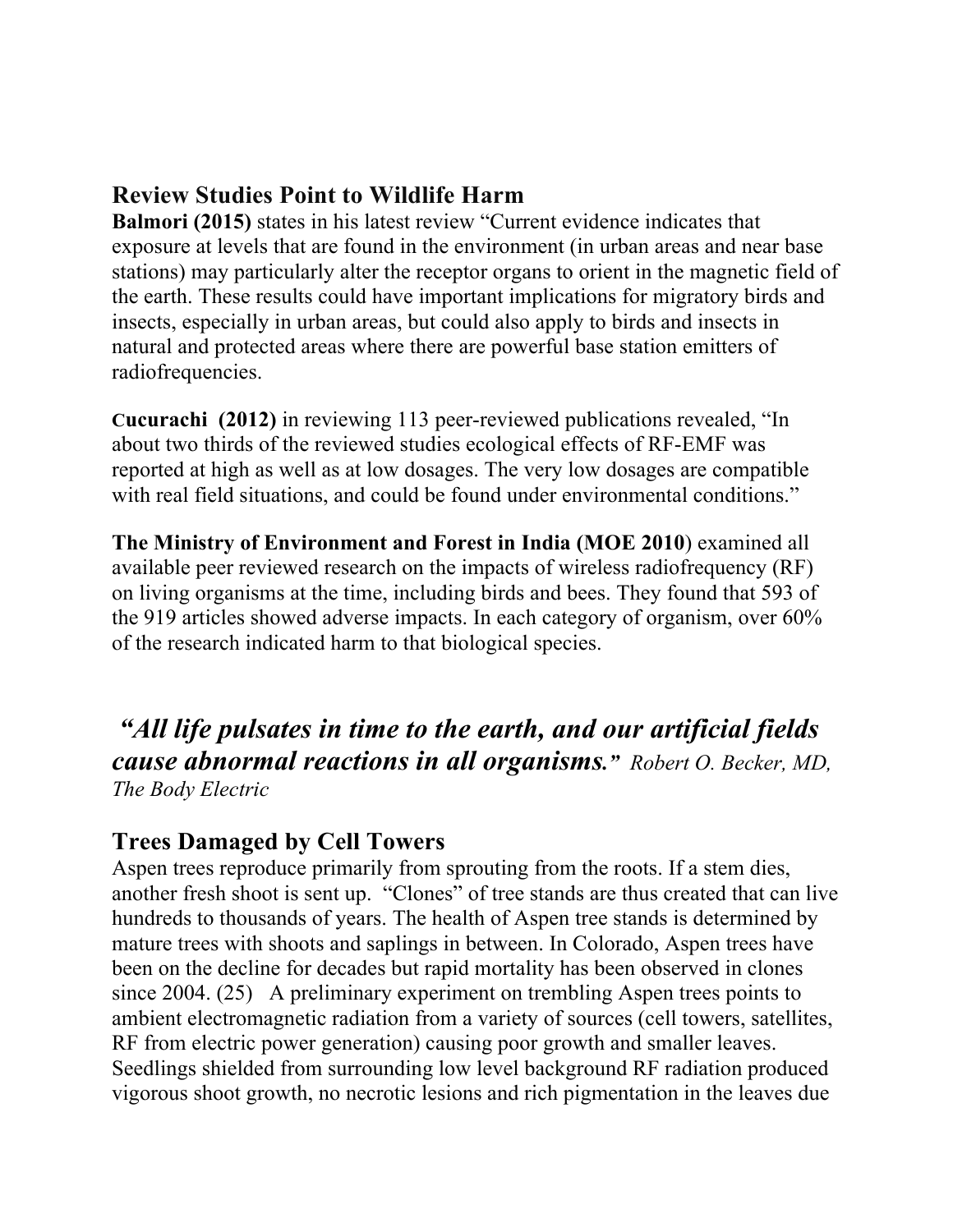## **Review Studies Point to Wildlife Harm**

**Balmori (2015)** states in his latest review "Current evidence indicates that exposure at levels that are found in the environment (in urban areas and near base stations) may particularly alter the receptor organs to orient in the magnetic field of the earth. These results could have important implications for migratory birds and insects, especially in urban areas, but could also apply to birds and insects in natural and protected areas where there are powerful base station emitters of radiofrequencies.

**Cucurachi (2012)** in reviewing 113 peer-reviewed publications revealed, "In about two thirds of the reviewed studies ecological effects of RF-EMF was reported at high as well as at low dosages. The very low dosages are compatible with real field situations, and could be found under environmental conditions."

**The Ministry of Environment and Forest in India (MOE 2010**) examined all available peer reviewed research on the impacts of wireless radiofrequency (RF) on living organisms at the time, including birds and bees. They found that 593 of the 919 articles showed adverse impacts. In each category of organism, over 60% of the research indicated harm to that biological species.

*"All life pulsates in time to the earth, and our artificial fields cause abnormal reactions in all organisms." Robert O. Becker, MD, The Body Electric*

# **Trees Damaged by Cell Towers**

Aspen trees reproduce primarily from sprouting from the roots. If a stem dies, another fresh shoot is sent up. "Clones" of tree stands are thus created that can live hundreds to thousands of years. The health of Aspen tree stands is determined by mature trees with shoots and saplings in between. In Colorado, Aspen trees have been on the decline for decades but rapid mortality has been observed in clones since 2004. (25) A preliminary experiment on trembling Aspen trees points to ambient electromagnetic radiation from a variety of sources (cell towers, satellites, RF from electric power generation) causing poor growth and smaller leaves. Seedlings shielded from surrounding low level background RF radiation produced vigorous shoot growth, no necrotic lesions and rich pigmentation in the leaves due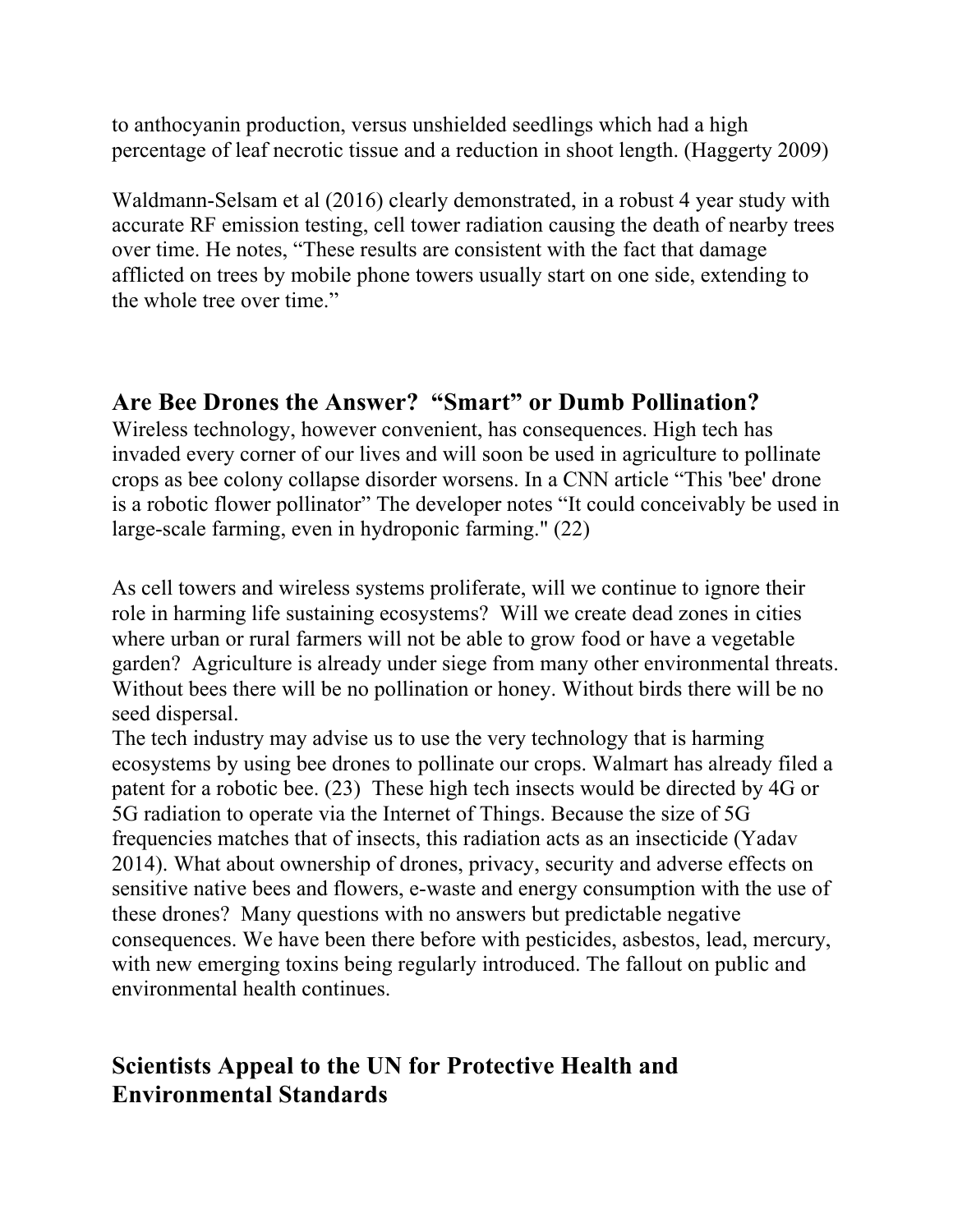to anthocyanin production, versus unshielded seedlings which had a high percentage of leaf necrotic tissue and a reduction in shoot length. (Haggerty 2009)

Waldmann-Selsam et al (2016) clearly demonstrated, in a robust 4 year study with accurate RF emission testing, cell tower radiation causing the death of nearby trees over time. He notes, "These results are consistent with the fact that damage afflicted on trees by mobile phone towers usually start on one side, extending to the whole tree over time."

### **Are Bee Drones the Answer? "Smart" or Dumb Pollination?**

Wireless technology, however convenient, has consequences. High tech has invaded every corner of our lives and will soon be used in agriculture to pollinate crops as bee colony collapse disorder worsens. In a CNN article "This 'bee' drone is a robotic flower pollinator" The developer notes "It could conceivably be used in large-scale farming, even in hydroponic farming." (22)

As cell towers and wireless systems proliferate, will we continue to ignore their role in harming life sustaining ecosystems? Will we create dead zones in cities where urban or rural farmers will not be able to grow food or have a vegetable garden? Agriculture is already under siege from many other environmental threats. Without bees there will be no pollination or honey. Without birds there will be no seed dispersal.

The tech industry may advise us to use the very technology that is harming ecosystems by using bee drones to pollinate our crops. Walmart has already filed a patent for a robotic bee. (23) These high tech insects would be directed by 4G or 5G radiation to operate via the Internet of Things. Because the size of 5G frequencies matches that of insects, this radiation acts as an insecticide (Yadav 2014). What about ownership of drones, privacy, security and adverse effects on sensitive native bees and flowers, e-waste and energy consumption with the use of these drones? Many questions with no answers but predictable negative consequences. We have been there before with pesticides, asbestos, lead, mercury, with new emerging toxins being regularly introduced. The fallout on public and environmental health continues.

### **Scientists Appeal to the UN for Protective Health and Environmental Standards**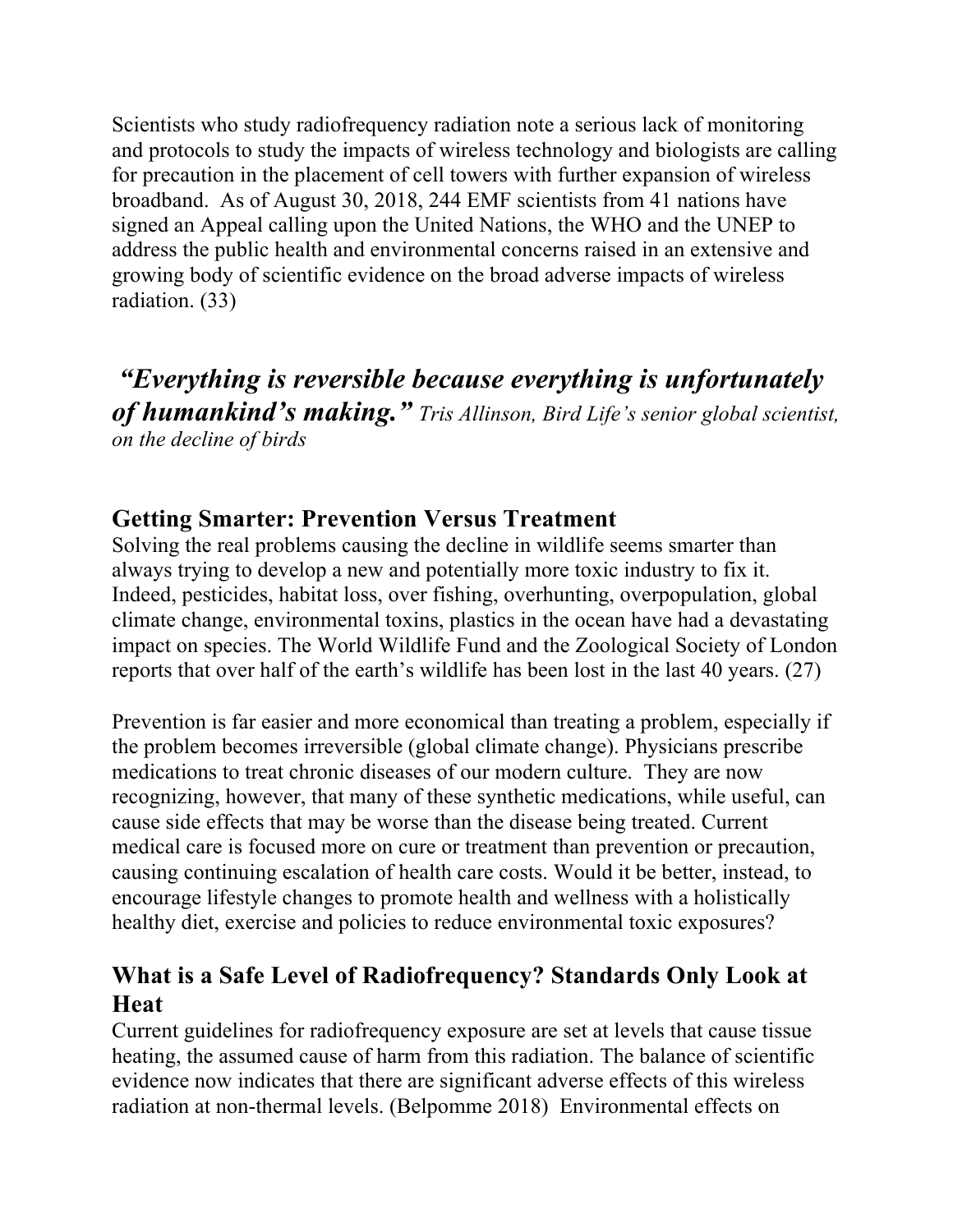Scientists who study radiofrequency radiation note a serious lack of monitoring and protocols to study the impacts of wireless technology and biologists are calling for precaution in the placement of cell towers with further expansion of wireless broadband. As of August 30, 2018, 244 EMF scientists from 41 nations have signed an Appeal calling upon the United Nations, the WHO and the UNEP to address the public health and environmental concerns raised in an extensive and growing body of scientific evidence on the broad adverse impacts of wireless radiation. (33)

*"Everything is reversible because everything is unfortunately of humankind's making." Tris Allinson, Bird Life's senior global scientist, on the decline of birds*

# **Getting Smarter: Prevention Versus Treatment**

Solving the real problems causing the decline in wildlife seems smarter than always trying to develop a new and potentially more toxic industry to fix it. Indeed, pesticides, habitat loss, over fishing, overhunting, overpopulation, global climate change, environmental toxins, plastics in the ocean have had a devastating impact on species. The World Wildlife Fund and the Zoological Society of London reports that over half of the earth's wildlife has been lost in the last 40 years. (27)

Prevention is far easier and more economical than treating a problem, especially if the problem becomes irreversible (global climate change). Physicians prescribe medications to treat chronic diseases of our modern culture. They are now recognizing, however, that many of these synthetic medications, while useful, can cause side effects that may be worse than the disease being treated. Current medical care is focused more on cure or treatment than prevention or precaution, causing continuing escalation of health care costs. Would it be better, instead, to encourage lifestyle changes to promote health and wellness with a holistically healthy diet, exercise and policies to reduce environmental toxic exposures?

# **What is a Safe Level of Radiofrequency? Standards Only Look at Heat**

Current guidelines for radiofrequency exposure are set at levels that cause tissue heating, the assumed cause of harm from this radiation. The balance of scientific evidence now indicates that there are significant adverse effects of this wireless radiation at non-thermal levels. (Belpomme 2018) Environmental effects on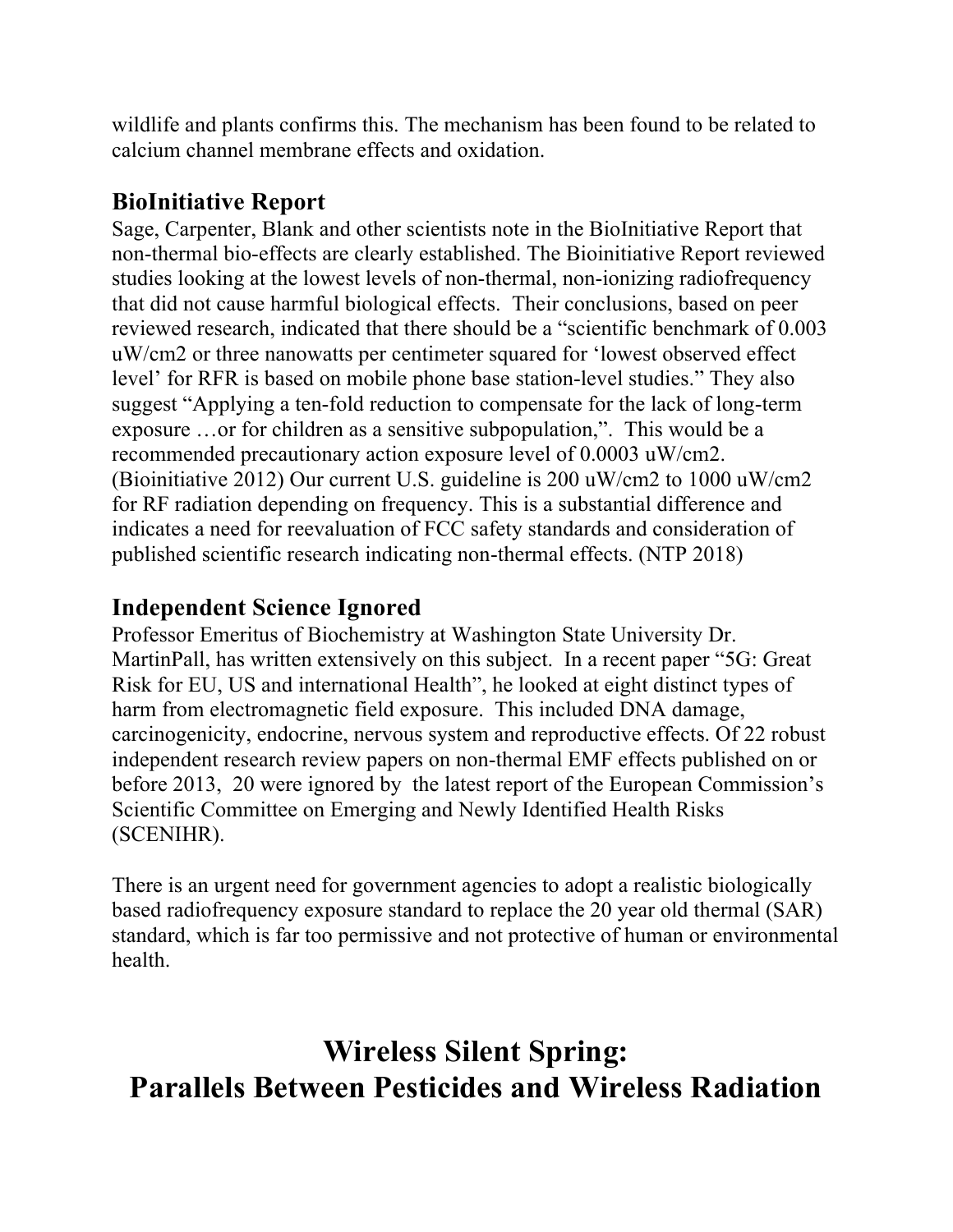wildlife and plants confirms this. The mechanism has been found to be related to calcium channel membrane effects and oxidation.

### **BioInitiative Report**

Sage, Carpenter, Blank and other scientists note in the BioInitiative Report that non-thermal bio-effects are clearly established. The Bioinitiative Report reviewed studies looking at the lowest levels of non-thermal, non-ionizing radiofrequency that did not cause harmful biological effects. Their conclusions, based on peer reviewed research, indicated that there should be a "scientific benchmark of 0.003 uW/cm2 or three nanowatts per centimeter squared for 'lowest observed effect level' for RFR is based on mobile phone base station-level studies." They also suggest "Applying a ten-fold reduction to compensate for the lack of long-term exposure …or for children as a sensitive subpopulation,". This would be a recommended precautionary action exposure level of 0.0003 uW/cm2. (Bioinitiative 2012) Our current U.S. guideline is 200 uW/cm2 to 1000 uW/cm2 for RF radiation depending on frequency. This is a substantial difference and indicates a need for reevaluation of FCC safety standards and consideration of published scientific research indicating non-thermal effects. (NTP 2018)

### **Independent Science Ignored**

Professor Emeritus of Biochemistry at Washington State University Dr. MartinPall, has written extensively on this subject. In a recent paper "5G: Great Risk for EU, US and international Health", he looked at eight distinct types of harm from electromagnetic field exposure. This included DNA damage, carcinogenicity, endocrine, nervous system and reproductive effects. Of 22 robust independent research review papers on non-thermal EMF effects published on or before 2013, 20 were ignored by the latest report of the European Commission's Scientific Committee on Emerging and Newly Identified Health Risks (SCENIHR).

There is an urgent need for government agencies to adopt a realistic biologically based radiofrequency exposure standard to replace the 20 year old thermal (SAR) standard, which is far too permissive and not protective of human or environmental health.

# **Wireless Silent Spring: Parallels Between Pesticides and Wireless Radiation**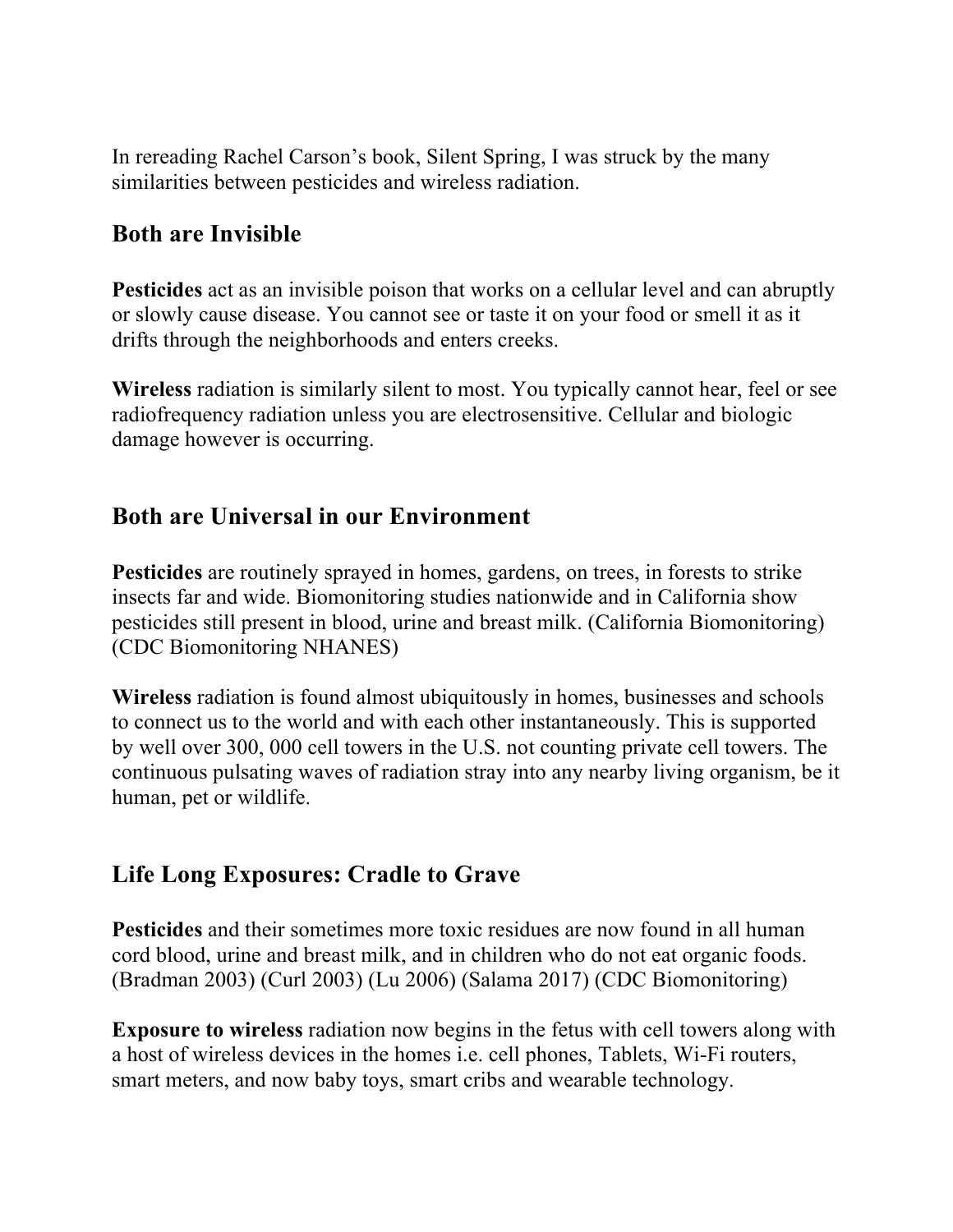In rereading Rachel Carson's book, Silent Spring, I was struck by the many similarities between pesticides and wireless radiation.

### **Both are Invisible**

**Pesticides** act as an invisible poison that works on a cellular level and can abruptly or slowly cause disease. You cannot see or taste it on your food or smell it as it drifts through the neighborhoods and enters creeks.

**Wireless** radiation is similarly silent to most. You typically cannot hear, feel or see radiofrequency radiation unless you are electrosensitive. Cellular and biologic damage however is occurring.

### **Both are Universal in our Environment**

**Pesticides** are routinely sprayed in homes, gardens, on trees, in forests to strike insects far and wide. Biomonitoring studies nationwide and in California show pesticides still present in blood, urine and breast milk. (California Biomonitoring) (CDC Biomonitoring NHANES)

**Wireless** radiation is found almost ubiquitously in homes, businesses and schools to connect us to the world and with each other instantaneously. This is supported by well over 300, 000 cell towers in the U.S. not counting private cell towers. The continuous pulsating waves of radiation stray into any nearby living organism, be it human, pet or wildlife.

### **Life Long Exposures: Cradle to Grave**

**Pesticides** and their sometimes more toxic residues are now found in all human cord blood, urine and breast milk, and in children who do not eat organic foods. (Bradman 2003) (Curl 2003) (Lu 2006) (Salama 2017) (CDC Biomonitoring)

**Exposure to wireless** radiation now begins in the fetus with cell towers along with a host of wireless devices in the homes i.e. cell phones, Tablets, Wi-Fi routers, smart meters, and now baby toys, smart cribs and wearable technology.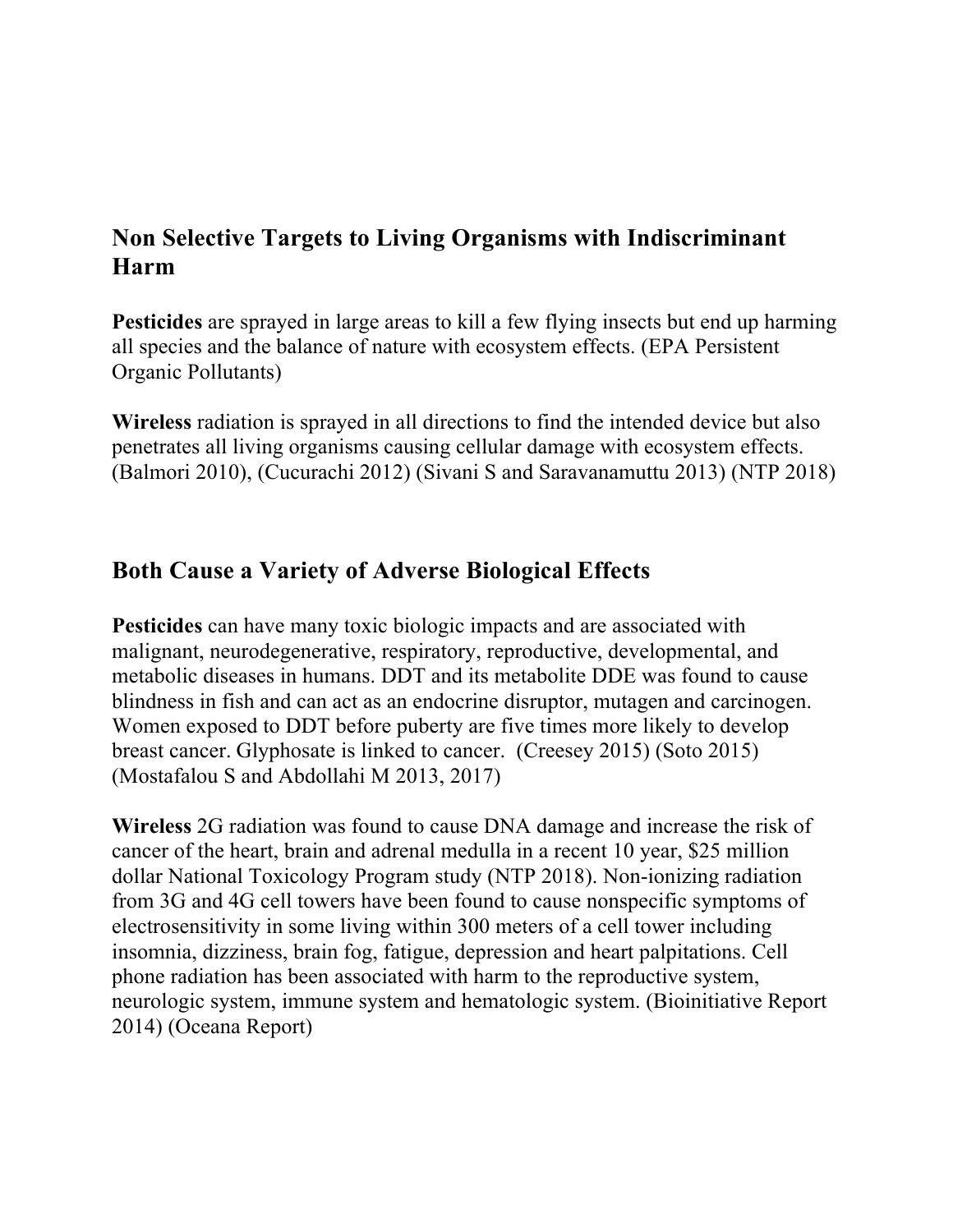### **Non Selective Targets to Living Organisms with Indiscriminant Harm**

**Pesticides** are sprayed in large areas to kill a few flying insects but end up harming all species and the balance of nature with ecosystem effects. (EPA Persistent Organic Pollutants)

**Wireless** radiation is sprayed in all directions to find the intended device but also penetrates all living organisms causing cellular damage with ecosystem effects. (Balmori 2010), (Cucurachi 2012) (Sivani S and Saravanamuttu 2013) (NTP 2018)

### **Both Cause a Variety of Adverse Biological Effects**

**Pesticides** can have many toxic biologic impacts and are associated with malignant, neurodegenerative, respiratory, reproductive, developmental, and metabolic diseases in humans. DDT and its metabolite DDE was found to cause blindness in fish and can act as an endocrine disruptor, mutagen and carcinogen. Women exposed to DDT before puberty are five times more likely to develop breast cancer. Glyphosate is linked to cancer. (Creesey 2015) (Soto 2015) (Mostafalou S and Abdollahi M 2013, 2017)

**Wireless** 2G radiation was found to cause DNA damage and increase the risk of cancer of the heart, brain and adrenal medulla in a recent 10 year, \$25 million dollar National Toxicology Program study (NTP 2018). Non-ionizing radiation from 3G and 4G cell towers have been found to cause nonspecific symptoms of electrosensitivity in some living within 300 meters of a cell tower including insomnia, dizziness, brain fog, fatigue, depression and heart palpitations. Cell phone radiation has been associated with harm to the reproductive system, neurologic system, immune system and hematologic system. (Bioinitiative Report 2014) (Oceana Report)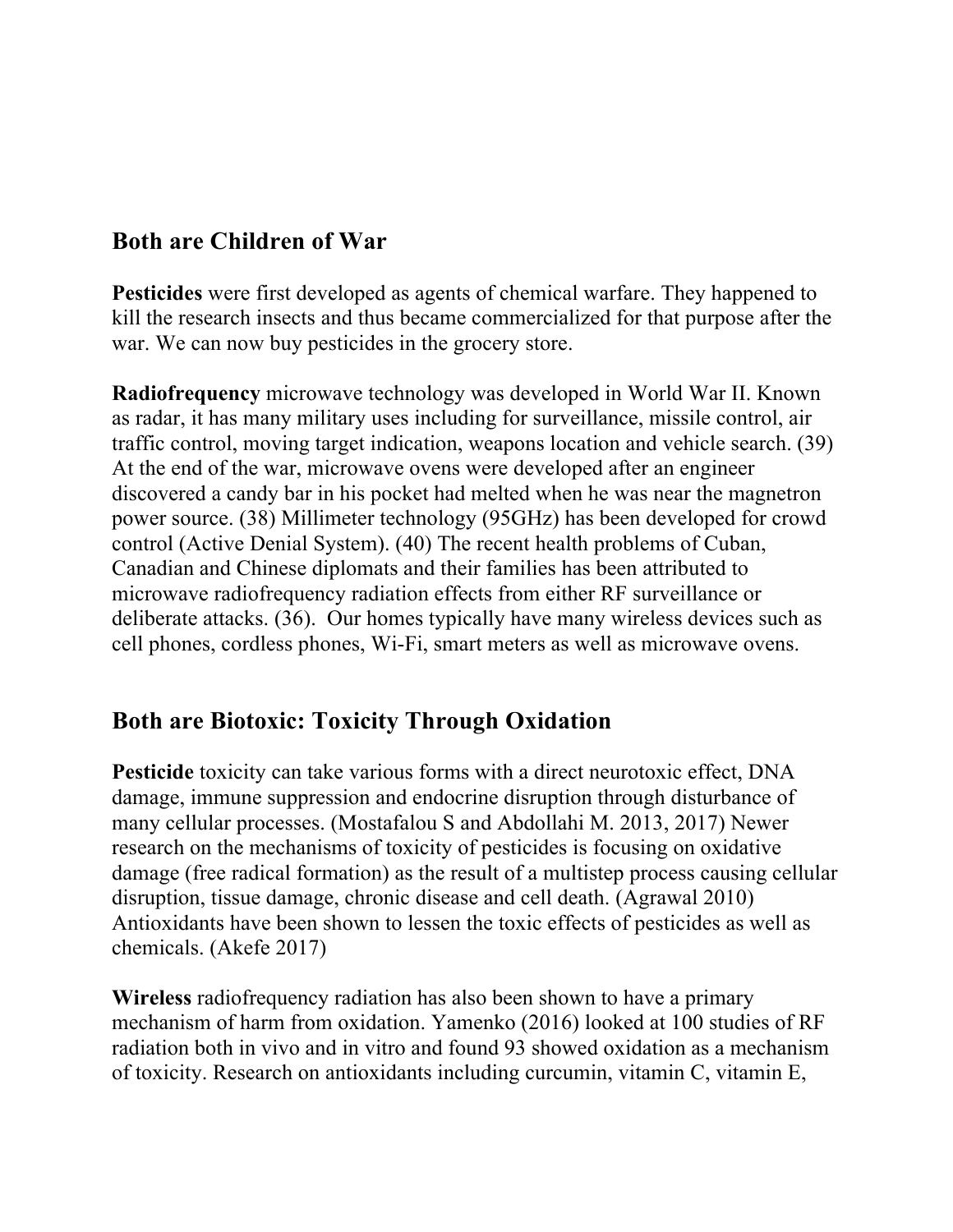## **Both are Children of War**

**Pesticides** were first developed as agents of chemical warfare. They happened to kill the research insects and thus became commercialized for that purpose after the war. We can now buy pesticides in the grocery store.

**Radiofrequency** microwave technology was developed in World War II. Known as radar, it has many military uses including for surveillance, missile control, air traffic control, moving target indication, weapons location and vehicle search. (39) At the end of the war, microwave ovens were developed after an engineer discovered a candy bar in his pocket had melted when he was near the magnetron power source. (38) Millimeter technology (95GHz) has been developed for crowd control (Active Denial System). (40) The recent health problems of Cuban, Canadian and Chinese diplomats and their families has been attributed to microwave radiofrequency radiation effects from either RF surveillance or deliberate attacks. (36). Our homes typically have many wireless devices such as cell phones, cordless phones, Wi-Fi, smart meters as well as microwave ovens.

### **Both are Biotoxic: Toxicity Through Oxidation**

**Pesticide** toxicity can take various forms with a direct neurotoxic effect, DNA damage, immune suppression and endocrine disruption through disturbance of many cellular processes. (Mostafalou S and Abdollahi M. 2013, 2017) Newer research on the mechanisms of toxicity of pesticides is focusing on oxidative damage (free radical formation) as the result of a multistep process causing cellular disruption, tissue damage, chronic disease and cell death. (Agrawal 2010) Antioxidants have been shown to lessen the toxic effects of pesticides as well as chemicals. (Akefe 2017)

**Wireless** radiofrequency radiation has also been shown to have a primary mechanism of harm from oxidation. Yamenko (2016) looked at 100 studies of RF radiation both in vivo and in vitro and found 93 showed oxidation as a mechanism of toxicity. Research on antioxidants including curcumin, vitamin C, vitamin E,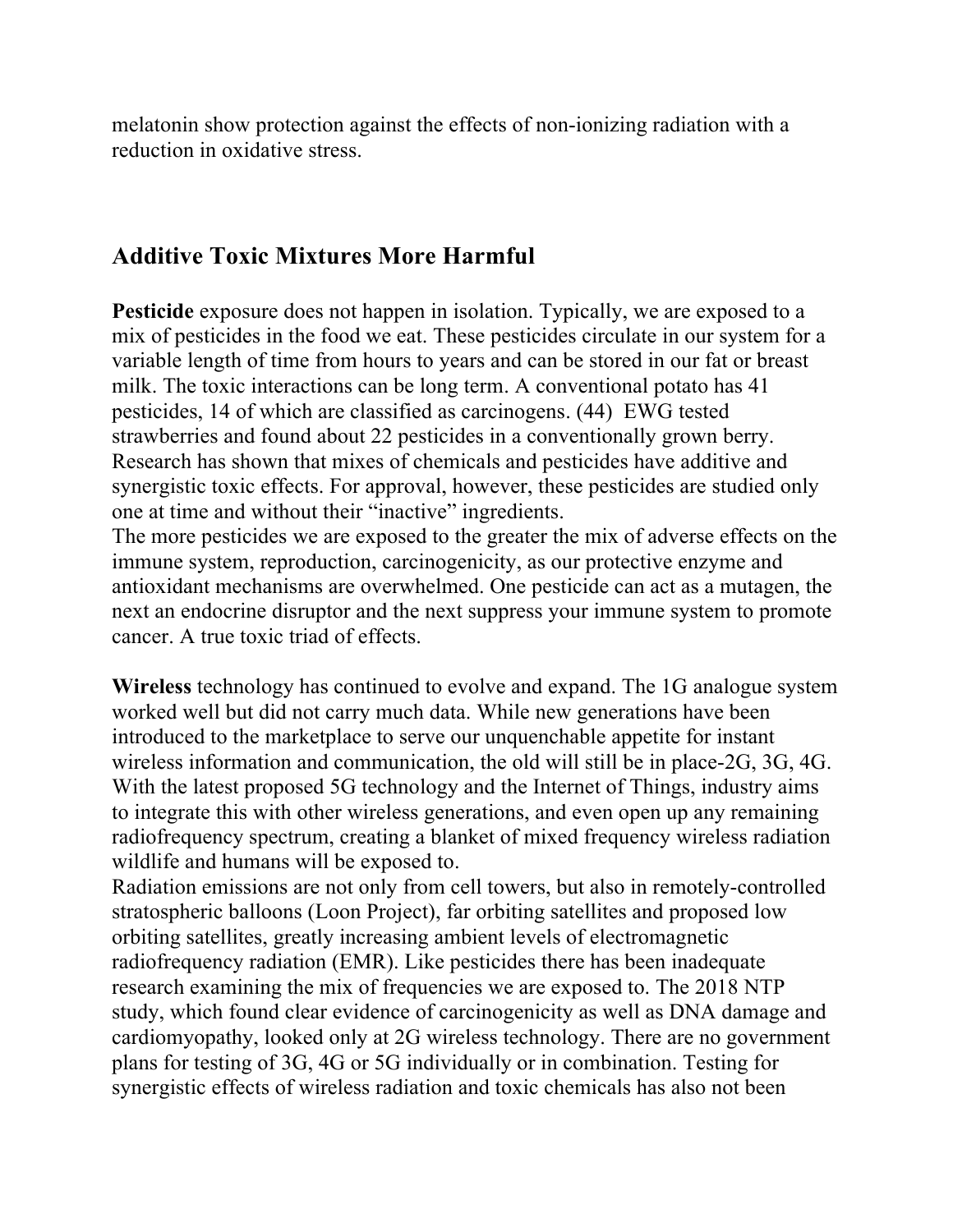melatonin show protection against the effects of non-ionizing radiation with a reduction in oxidative stress.

### **Additive Toxic Mixtures More Harmful**

**Pesticide** exposure does not happen in isolation. Typically, we are exposed to a mix of pesticides in the food we eat. These pesticides circulate in our system for a variable length of time from hours to years and can be stored in our fat or breast milk. The toxic interactions can be long term. A conventional potato has 41 pesticides, 14 of which are classified as carcinogens. (44) EWG tested strawberries and found about 22 pesticides in a conventionally grown berry. Research has shown that mixes of chemicals and pesticides have additive and synergistic toxic effects. For approval, however, these pesticides are studied only one at time and without their "inactive" ingredients.

The more pesticides we are exposed to the greater the mix of adverse effects on the immune system, reproduction, carcinogenicity, as our protective enzyme and antioxidant mechanisms are overwhelmed. One pesticide can act as a mutagen, the next an endocrine disruptor and the next suppress your immune system to promote cancer. A true toxic triad of effects.

**Wireless** technology has continued to evolve and expand. The 1G analogue system worked well but did not carry much data. While new generations have been introduced to the marketplace to serve our unquenchable appetite for instant wireless information and communication, the old will still be in place-2G, 3G, 4G. With the latest proposed 5G technology and the Internet of Things, industry aims to integrate this with other wireless generations, and even open up any remaining radiofrequency spectrum, creating a blanket of mixed frequency wireless radiation wildlife and humans will be exposed to.

Radiation emissions are not only from cell towers, but also in remotely-controlled stratospheric balloons (Loon Project), far orbiting satellites and proposed low orbiting satellites, greatly increasing ambient levels of electromagnetic radiofrequency radiation (EMR). Like pesticides there has been inadequate research examining the mix of frequencies we are exposed to. The 2018 NTP study, which found clear evidence of carcinogenicity as well as DNA damage and cardiomyopathy, looked only at 2G wireless technology. There are no government plans for testing of 3G, 4G or 5G individually or in combination. Testing for synergistic effects of wireless radiation and toxic chemicals has also not been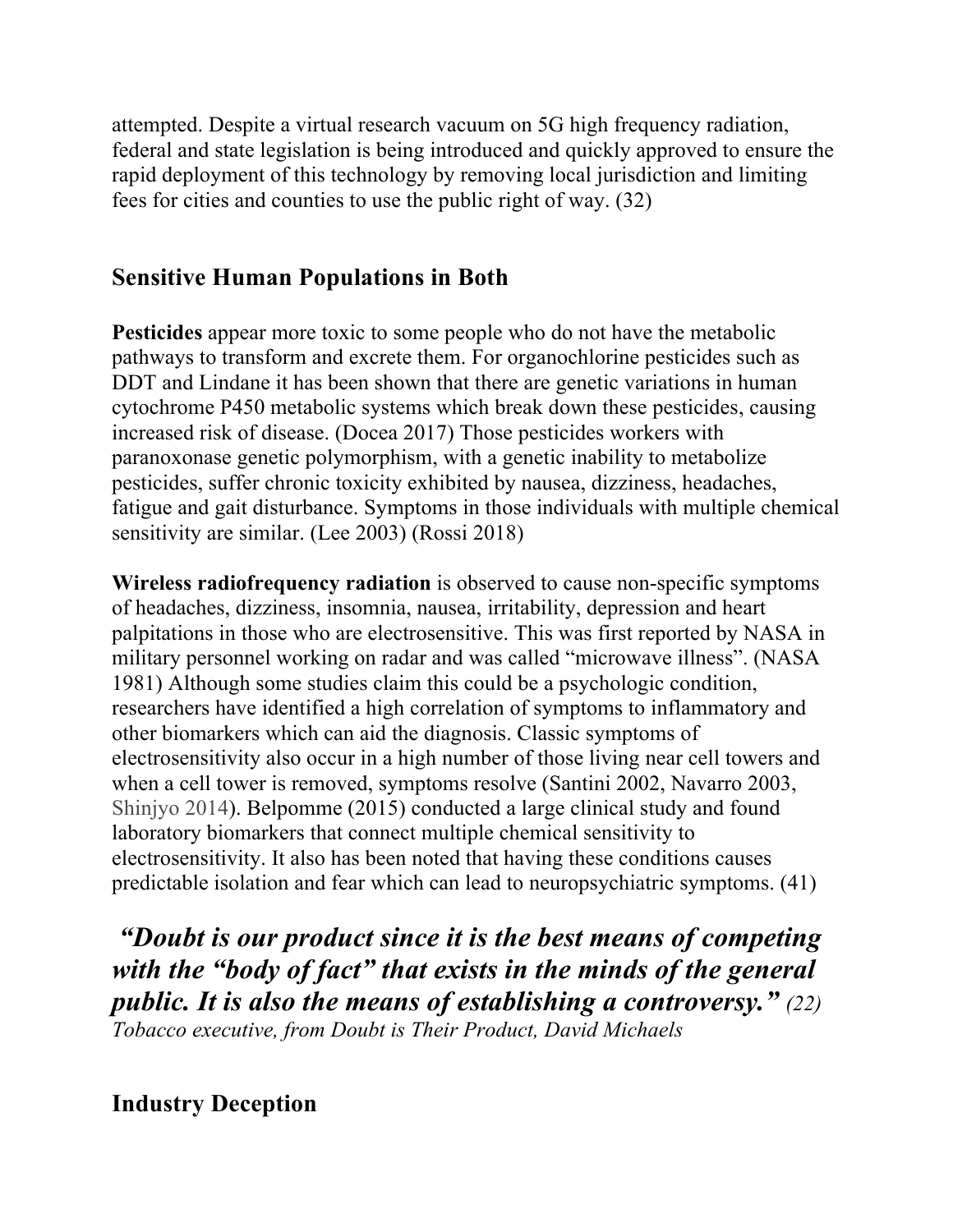attempted. Despite a virtual research vacuum on 5G high frequency radiation, federal and state legislation is being introduced and quickly approved to ensure the rapid deployment of this technology by removing local jurisdiction and limiting fees for cities and counties to use the public right of way. (32)

### **Sensitive Human Populations in Both**

**Pesticides** appear more toxic to some people who do not have the metabolic pathways to transform and excrete them. For organochlorine pesticides such as DDT and Lindane it has been shown that there are genetic variations in human cytochrome P450 metabolic systems which break down these pesticides, causing increased risk of disease. (Docea 2017) Those pesticides workers with paranoxonase genetic polymorphism, with a genetic inability to metabolize pesticides, suffer chronic toxicity exhibited by nausea, dizziness, headaches, fatigue and gait disturbance. Symptoms in those individuals with multiple chemical sensitivity are similar. (Lee 2003) (Rossi 2018)

**Wireless radiofrequency radiation** is observed to cause non-specific symptoms of headaches, dizziness, insomnia, nausea, irritability, depression and heart palpitations in those who are electrosensitive. This was first reported by NASA in military personnel working on radar and was called "microwave illness". (NASA 1981) Although some studies claim this could be a psychologic condition, researchers have identified a high correlation of symptoms to inflammatory and other biomarkers which can aid the diagnosis. Classic symptoms of electrosensitivity also occur in a high number of those living near cell towers and when a cell tower is removed, symptoms resolve (Santini 2002, Navarro 2003, Shinjyo 2014). Belpomme (2015) conducted a large clinical study and found laboratory biomarkers that connect multiple chemical sensitivity to electrosensitivity. It also has been noted that having these conditions causes predictable isolation and fear which can lead to neuropsychiatric symptoms. (41)

*"Doubt is our product since it is the best means of competing with the "body of fact" that exists in the minds of the general public. It is also the means of establishing a controversy." (22) Tobacco executive, from Doubt is Their Product, David Michaels*

**Industry Deception**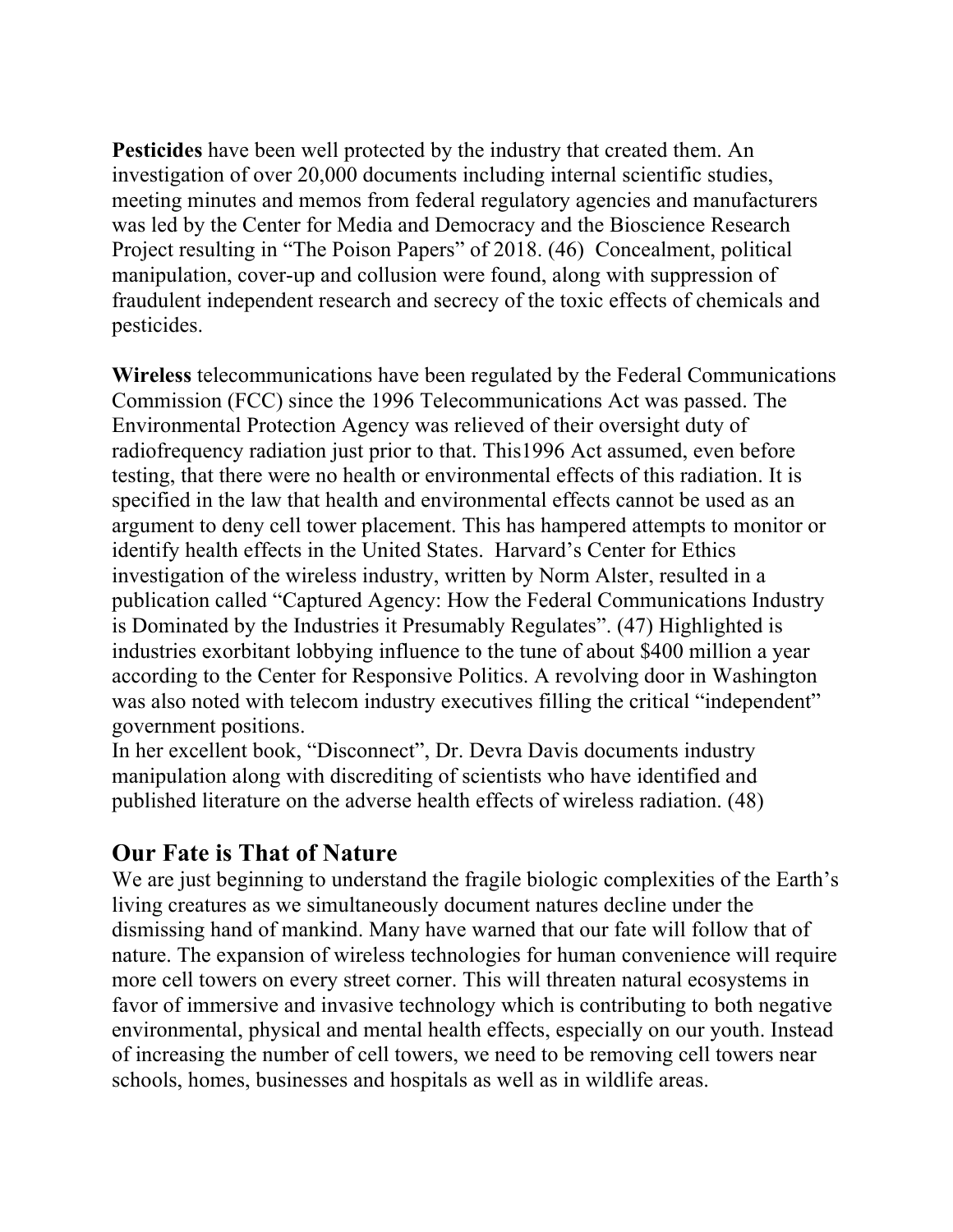**Pesticides** have been well protected by the industry that created them. An investigation of over 20,000 documents including internal scientific studies, meeting minutes and memos from federal regulatory agencies and manufacturers was led by the Center for Media and Democracy and the Bioscience Research Project resulting in "The Poison Papers" of 2018. (46) Concealment, political manipulation, cover-up and collusion were found, along with suppression of fraudulent independent research and secrecy of the toxic effects of chemicals and pesticides.

**Wireless** telecommunications have been regulated by the Federal Communications Commission (FCC) since the 1996 Telecommunications Act was passed. The Environmental Protection Agency was relieved of their oversight duty of radiofrequency radiation just prior to that. This1996 Act assumed, even before testing, that there were no health or environmental effects of this radiation. It is specified in the law that health and environmental effects cannot be used as an argument to deny cell tower placement. This has hampered attempts to monitor or identify health effects in the United States. Harvard's Center for Ethics investigation of the wireless industry, written by Norm Alster, resulted in a publication called "Captured Agency: How the Federal Communications Industry is Dominated by the Industries it Presumably Regulates". (47) Highlighted is industries exorbitant lobbying influence to the tune of about \$400 million a year according to the Center for Responsive Politics. A revolving door in Washington was also noted with telecom industry executives filling the critical "independent" government positions.

In her excellent book, "Disconnect", Dr. Devra Davis documents industry manipulation along with discrediting of scientists who have identified and published literature on the adverse health effects of wireless radiation. (48)

### **Our Fate is That of Nature**

We are just beginning to understand the fragile biologic complexities of the Earth's living creatures as we simultaneously document natures decline under the dismissing hand of mankind. Many have warned that our fate will follow that of nature. The expansion of wireless technologies for human convenience will require more cell towers on every street corner. This will threaten natural ecosystems in favor of immersive and invasive technology which is contributing to both negative environmental, physical and mental health effects, especially on our youth. Instead of increasing the number of cell towers, we need to be removing cell towers near schools, homes, businesses and hospitals as well as in wildlife areas.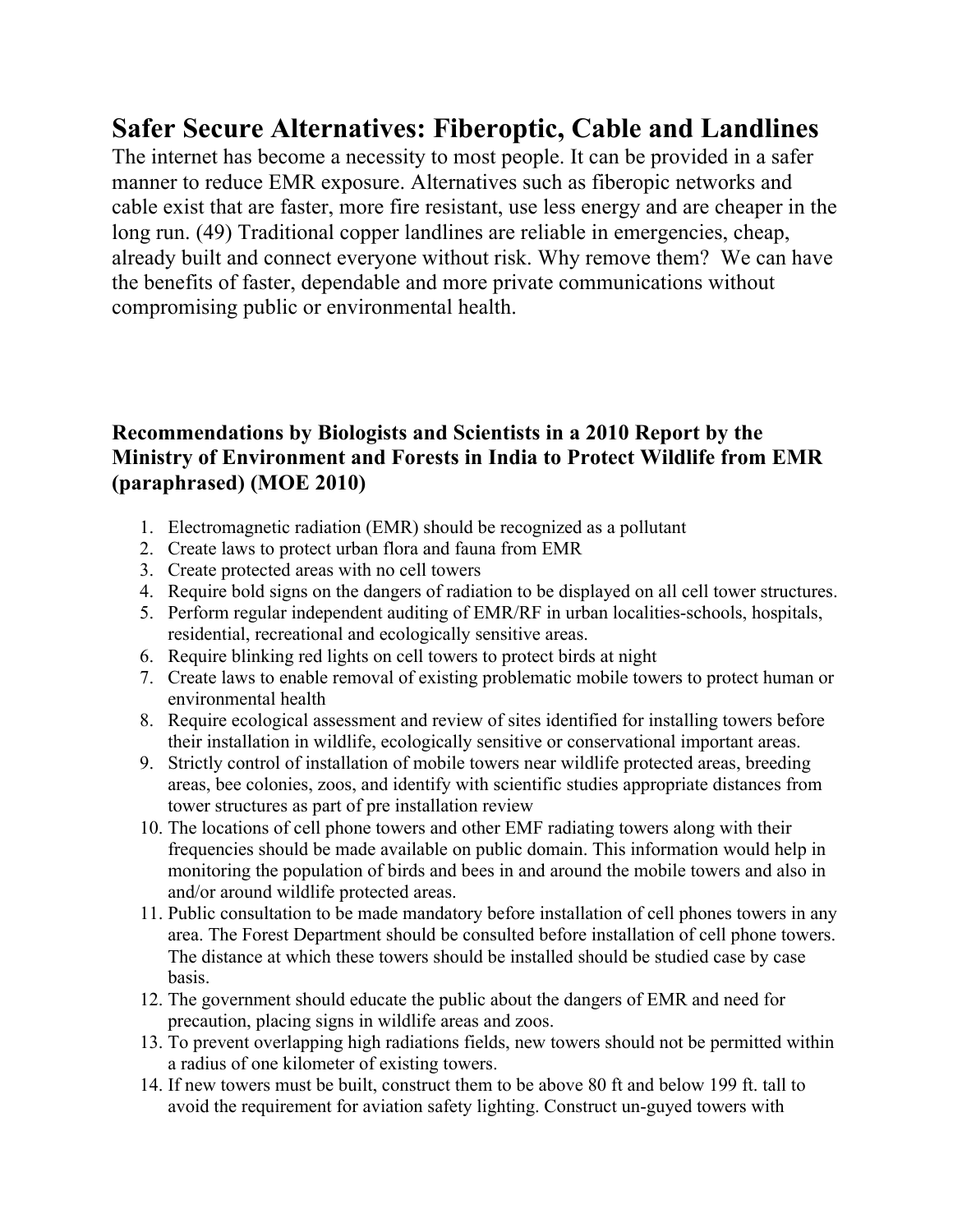# **Safer Secure Alternatives: Fiberoptic, Cable and Landlines**

The internet has become a necessity to most people. It can be provided in a safer manner to reduce EMR exposure. Alternatives such as fiberopic networks and cable exist that are faster, more fire resistant, use less energy and are cheaper in the long run. (49) Traditional copper landlines are reliable in emergencies, cheap, already built and connect everyone without risk. Why remove them? We can have the benefits of faster, dependable and more private communications without compromising public or environmental health.

### **Recommendations by Biologists and Scientists in a 2010 Report by the Ministry of Environment and Forests in India to Protect Wildlife from EMR (paraphrased) (MOE 2010)**

- 1. Electromagnetic radiation (EMR) should be recognized as a pollutant
- 2. Create laws to protect urban flora and fauna from EMR
- 3. Create protected areas with no cell towers
- 4. Require bold signs on the dangers of radiation to be displayed on all cell tower structures.
- 5. Perform regular independent auditing of EMR/RF in urban localities-schools, hospitals, residential, recreational and ecologically sensitive areas.
- 6. Require blinking red lights on cell towers to protect birds at night
- 7. Create laws to enable removal of existing problematic mobile towers to protect human or environmental health
- 8. Require ecological assessment and review of sites identified for installing towers before their installation in wildlife, ecologically sensitive or conservational important areas.
- 9. Strictly control of installation of mobile towers near wildlife protected areas, breeding areas, bee colonies, zoos, and identify with scientific studies appropriate distances from tower structures as part of pre installation review
- 10. The locations of cell phone towers and other EMF radiating towers along with their frequencies should be made available on public domain. This information would help in monitoring the population of birds and bees in and around the mobile towers and also in and/or around wildlife protected areas.
- 11. Public consultation to be made mandatory before installation of cell phones towers in any area. The Forest Department should be consulted before installation of cell phone towers. The distance at which these towers should be installed should be studied case by case basis.
- 12. The government should educate the public about the dangers of EMR and need for precaution, placing signs in wildlife areas and zoos.
- 13. To prevent overlapping high radiations fields, new towers should not be permitted within a radius of one kilometer of existing towers.
- 14. If new towers must be built, construct them to be above 80 ft and below 199 ft. tall to avoid the requirement for aviation safety lighting. Construct un-guyed towers with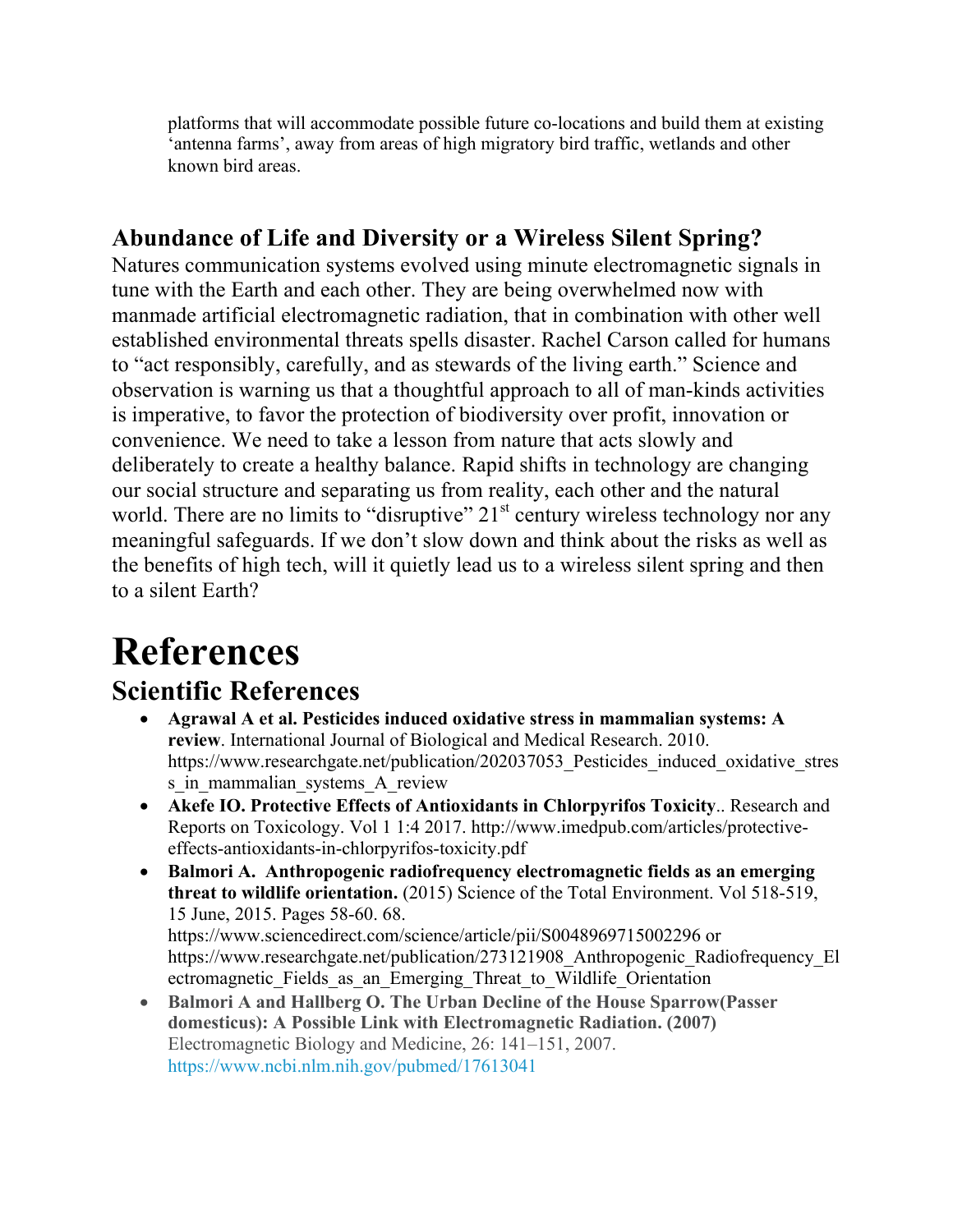platforms that will accommodate possible future co-locations and build them at existing 'antenna farms', away from areas of high migratory bird traffic, wetlands and other known bird areas.

# **Abundance of Life and Diversity or a Wireless Silent Spring?**

Natures communication systems evolved using minute electromagnetic signals in tune with the Earth and each other. They are being overwhelmed now with manmade artificial electromagnetic radiation, that in combination with other well established environmental threats spells disaster. Rachel Carson called for humans to "act responsibly, carefully, and as stewards of the living earth." Science and observation is warning us that a thoughtful approach to all of man-kinds activities is imperative, to favor the protection of biodiversity over profit, innovation or convenience. We need to take a lesson from nature that acts slowly and deliberately to create a healthy balance. Rapid shifts in technology are changing our social structure and separating us from reality, each other and the natural world. There are no limits to "disruptive"  $21<sup>st</sup>$  century wireless technology nor any meaningful safeguards. If we don't slow down and think about the risks as well as the benefits of high tech, will it quietly lead us to a wireless silent spring and then to a silent Earth?

# **References**

# **Scientific References**

- **Agrawal A et al. Pesticides induced oxidative stress in mammalian systems: A review**. International Journal of Biological and Medical Research. 2010. https://www.researchgate.net/publication/202037053 Pesticides induced oxidative stres s in mammalian systems A review
- **Akefe IO. Protective Effects of Antioxidants in Chlorpyrifos Toxicity**.. Research and Reports on Toxicology. Vol 1 1:4 2017. http://www.imedpub.com/articles/protectiveeffects-antioxidants-in-chlorpyrifos-toxicity.pdf
- **Balmori A. Anthropogenic radiofrequency electromagnetic fields as an emerging threat to wildlife orientation.** (2015) Science of the Total Environment. Vol 518-519, 15 June, 2015. Pages 58-60. 68. https://www.sciencedirect.com/science/article/pii/S0048969715002296 or https://www.researchgate.net/publication/273121908 Anthropogenic Radiofrequency El ectromagnetic Fields as an Emerging Threat to Wildlife Orientation
- **Balmori A and Hallberg O. The Urban Decline of the House Sparrow(Passer domesticus): A Possible Link with Electromagnetic Radiation. (2007)** Electromagnetic Biology and Medicine, 26: 141–151, 2007. https://www.ncbi.nlm.nih.gov/pubmed/17613041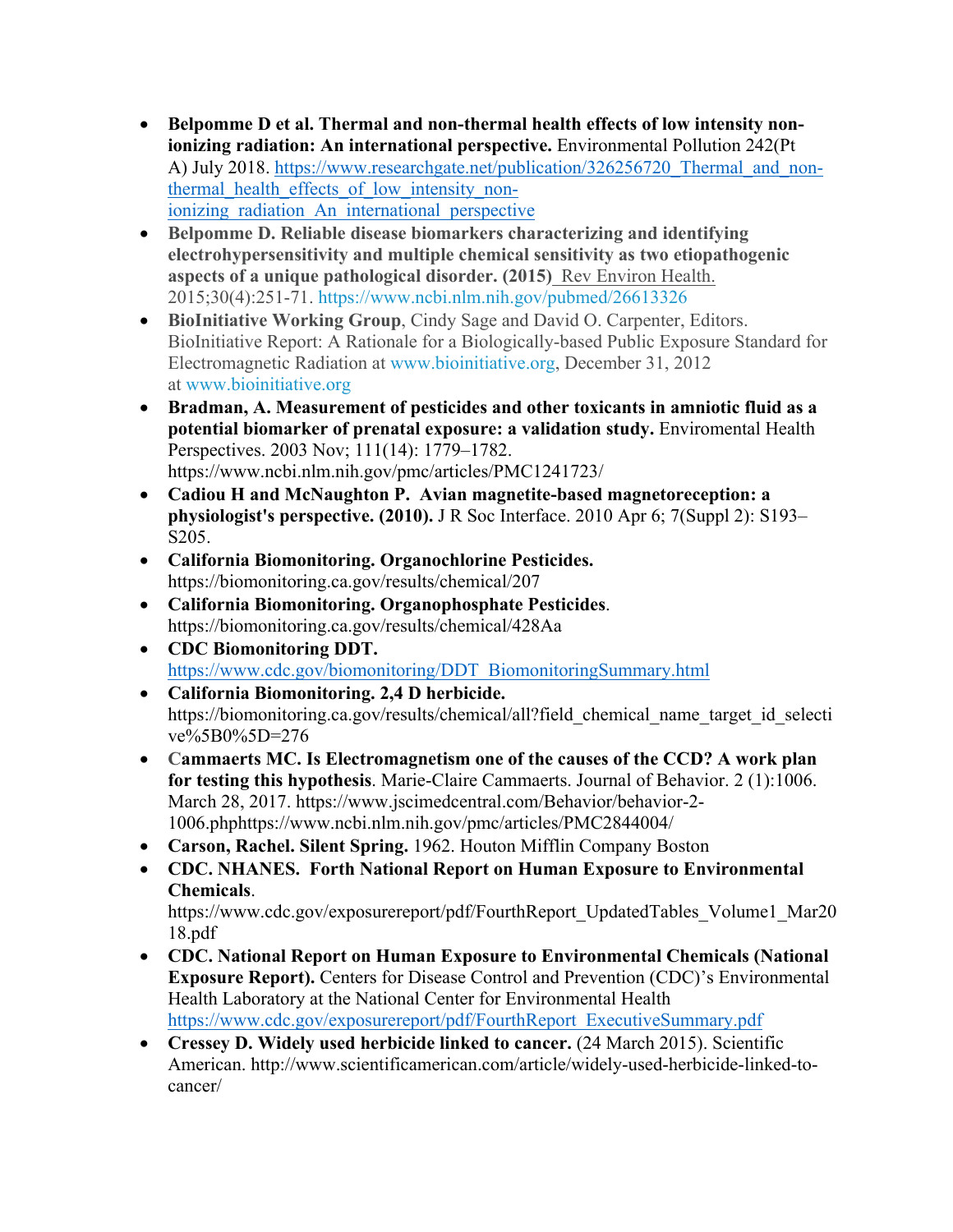- **Belpomme D et al. Thermal and non-thermal health effects of low intensity nonionizing radiation: An international perspective.** Environmental Pollution 242(Pt A) July 2018. https://www.researchgate.net/publication/326256720 Thermal and nonthermal health effects of low intensity nonionizing radiation An international perspective
- **Belpomme D. Reliable disease biomarkers characterizing and identifying electrohypersensitivity and multiple chemical sensitivity as two etiopathogenic aspects of a unique pathological disorder. (2015)** Rev Environ Health. 2015;30(4):251-71. https://www.ncbi.nlm.nih.gov/pubmed/26613326
- **BioInitiative Working Group**, Cindy Sage and David O. Carpenter, Editors. BioInitiative Report: A Rationale for a Biologically-based Public Exposure Standard for Electromagnetic Radiation at www.bioinitiative.org, December 31, 2012 at www.bioinitiative.org
- **Bradman, A. Measurement of pesticides and other toxicants in amniotic fluid as a potential biomarker of prenatal exposure: a validation study.** Enviromental Health Perspectives. 2003 Nov; 111(14): 1779–1782. https://www.ncbi.nlm.nih.gov/pmc/articles/PMC1241723/
- **Cadiou H and McNaughton P. Avian magnetite-based magnetoreception: a physiologist's perspective. (2010).** J R Soc Interface. 2010 Apr 6; 7(Suppl 2): S193– S205.
- **California Biomonitoring. Organochlorine Pesticides.** https://biomonitoring.ca.gov/results/chemical/207
- **California Biomonitoring. Organophosphate Pesticides**. https://biomonitoring.ca.gov/results/chemical/428Aa
- **CDC Biomonitoring DDT.** https://www.cdc.gov/biomonitoring/DDT\_BiomonitoringSummary.html
- **California Biomonitoring. 2,4 D herbicide.** https://biomonitoring.ca.gov/results/chemical/all?field chemical name target id selecti ve%5B0%5D=276
- **Cammaerts MC. Is Electromagnetism one of the causes of the CCD? A work plan for testing this hypothesis**. Marie-Claire Cammaerts. Journal of Behavior. 2 (1):1006. March 28, 2017. https://www.jscimedcentral.com/Behavior/behavior-2- 1006.phphttps://www.ncbi.nlm.nih.gov/pmc/articles/PMC2844004/
- **Carson, Rachel. Silent Spring.** 1962. Houton Mifflin Company Boston
- **CDC. NHANES. Forth National Report on Human Exposure to Environmental Chemicals**.

https://www.cdc.gov/exposurereport/pdf/FourthReport\_UpdatedTables\_Volume1\_Mar20 18.pdf

- **CDC. National Report on Human Exposure to Environmental Chemicals (National Exposure Report).** Centers for Disease Control and Prevention (CDC)'s Environmental Health Laboratory at the National Center for Environmental Health https://www.cdc.gov/exposurereport/pdf/FourthReport\_ExecutiveSummary.pdf
- **Cressey D. Widely used herbicide linked to cancer.** (24 March 2015). Scientific American. http://www.scientificamerican.com/article/widely-used-herbicide-linked-tocancer/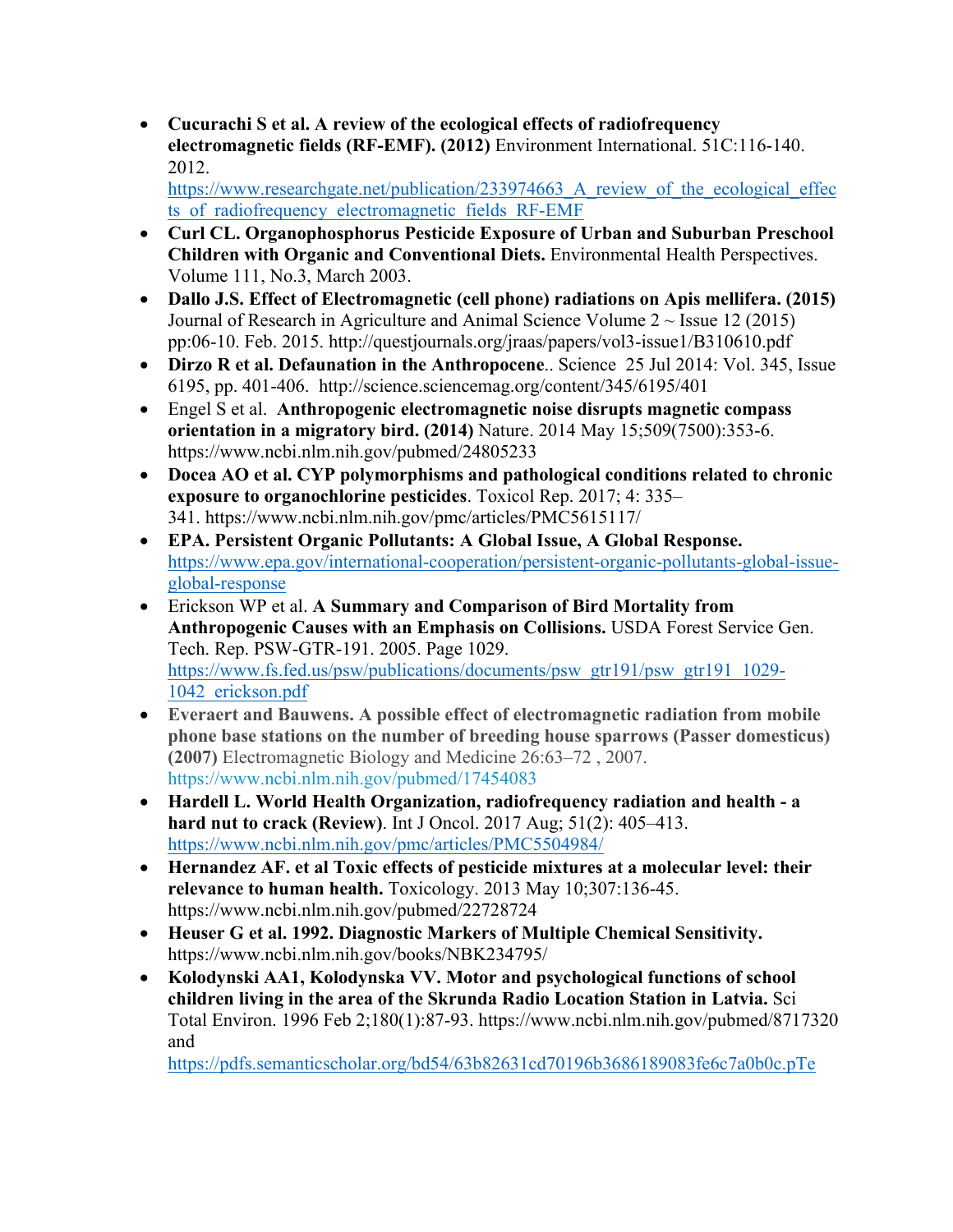• **Cucurachi S et al. A review of the ecological effects of radiofrequency electromagnetic fields (RF-EMF). (2012)** Environment International. 51C:116-140. 2012.

https://www.researchgate.net/publication/233974663 A review of the ecological effec ts of radiofrequency electromagnetic fields RF-EMF

- **Curl CL. Organophosphorus Pesticide Exposure of Urban and Suburban Preschool Children with Organic and Conventional Diets.** Environmental Health Perspectives. Volume 111, No.3, March 2003.
- **Dallo J.S. Effect of Electromagnetic (cell phone) radiations on Apis mellifera. (2015)**  Journal of Research in Agriculture and Animal Science Volume  $2 \sim$  Issue 12 (2015) pp:06-10. Feb. 2015. http://questjournals.org/jraas/papers/vol3-issue1/B310610.pdf
- **Dirzo R et al. Defaunation in the Anthropocene**.. Science 25 Jul 2014: Vol. 345, Issue 6195, pp. 401-406. http://science.sciencemag.org/content/345/6195/401
- Engel S et al. **Anthropogenic electromagnetic noise disrupts magnetic compass orientation in a migratory bird. (2014)** Nature. 2014 May 15;509(7500):353-6. https://www.ncbi.nlm.nih.gov/pubmed/24805233
- **Docea AO et al. CYP polymorphisms and pathological conditions related to chronic exposure to organochlorine pesticides**. Toxicol Rep. 2017; 4: 335– 341. https://www.ncbi.nlm.nih.gov/pmc/articles/PMC5615117/
- **EPA. Persistent Organic Pollutants: A Global Issue, A Global Response.** https://www.epa.gov/international-cooperation/persistent-organic-pollutants-global-issueglobal-response
- Erickson WP et al. **A Summary and Comparison of Bird Mortality from Anthropogenic Causes with an Emphasis on Collisions.** USDA Forest Service Gen. Tech. Rep. PSW-GTR-191. 2005. Page 1029. https://www.fs.fed.us/psw/publications/documents/psw\_gtr191/psw\_gtr191\_1029-1042\_erickson.pdf
- **Everaert and Bauwens. A possible effect of electromagnetic radiation from mobile phone base stations on the number of breeding house sparrows (Passer domesticus) (2007)** Electromagnetic Biology and Medicine 26:63–72 , 2007. https://www.ncbi.nlm.nih.gov/pubmed/17454083
- **Hardell L. World Health Organization, radiofrequency radiation and health - a hard nut to crack (Review)**. Int J Oncol. 2017 Aug; 51(2): 405–413. https://www.ncbi.nlm.nih.gov/pmc/articles/PMC5504984/
- **Hernandez AF. et al Toxic effects of pesticide mixtures at a molecular level: their relevance to human health.** Toxicology. 2013 May 10;307:136-45. https://www.ncbi.nlm.nih.gov/pubmed/22728724
- **Heuser G et al. 1992. Diagnostic Markers of Multiple Chemical Sensitivity.** https://www.ncbi.nlm.nih.gov/books/NBK234795/
- **Kolodynski AA1, Kolodynska VV. Motor and psychological functions of school children living in the area of the Skrunda Radio Location Station in Latvia.** Sci Total Environ. 1996 Feb 2;180(1):87-93. https://www.ncbi.nlm.nih.gov/pubmed/8717320 and

https://pdfs.semanticscholar.org/bd54/63b82631cd70196b3686189083fe6c7a0b0c.pTe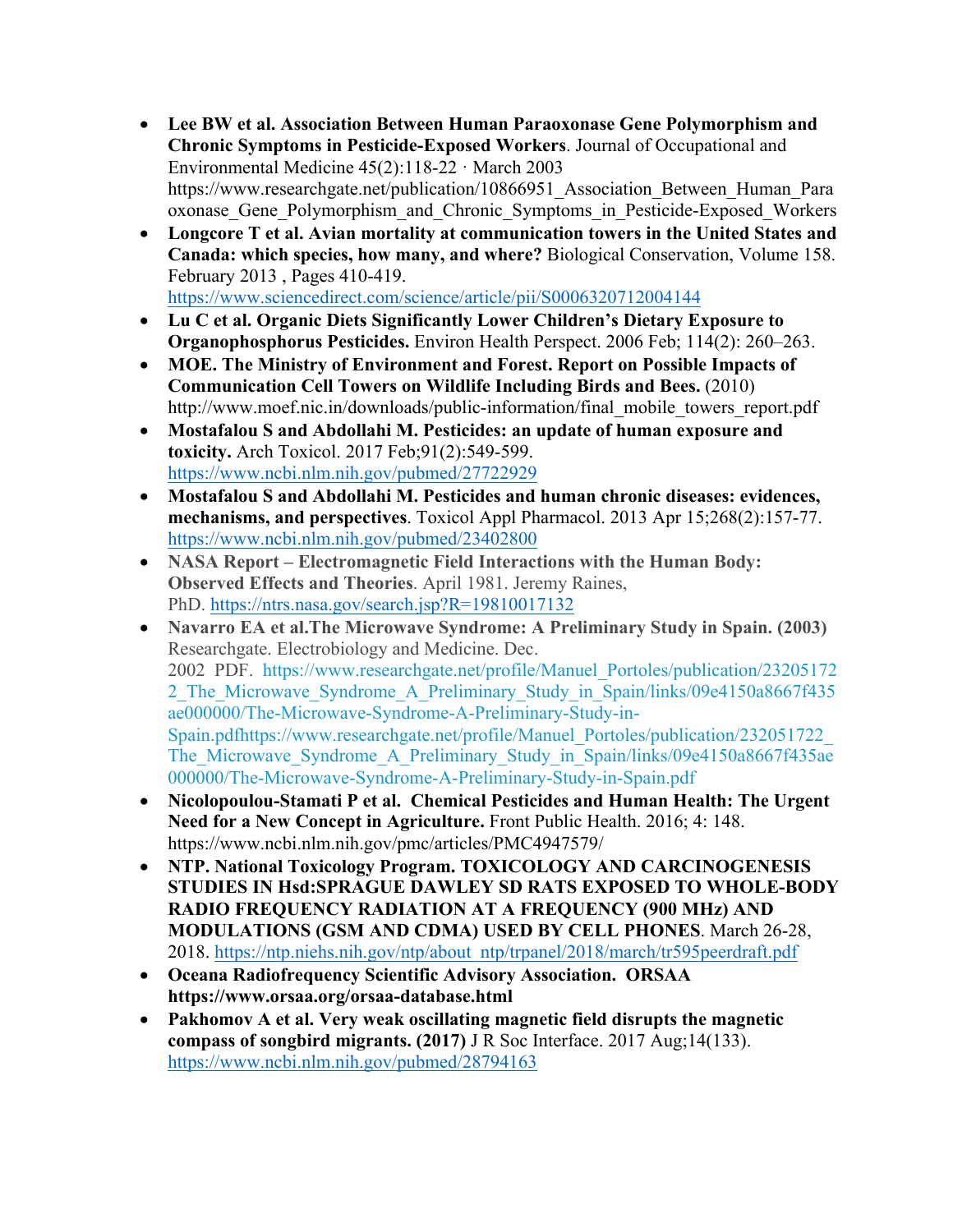- **Lee BW et al. Association Between Human Paraoxonase Gene Polymorphism and Chronic Symptoms in Pesticide-Exposed Workers**. Journal of Occupational and Environmental Medicine 45(2):118-22 · March 2003 https://www.researchgate.net/publication/10866951\_Association\_Between\_Human\_Para oxonase Gene Polymorphism and Chronic Symptoms in Pesticide-Exposed Workers
- **Longcore T et al. Avian mortality at communication towers in the United States and Canada: which species, how many, and where?** Biological Conservation, Volume 158. February 2013 , Pages 410-419. https://www.sciencedirect.com/science/article/pii/S0006320712004144
- **Lu C et al. Organic Diets Significantly Lower Children's Dietary Exposure to Organophosphorus Pesticides.** Environ Health Perspect. 2006 Feb; 114(2): 260–263.
- **MOE. The Ministry of Environment and Forest. Report on Possible Impacts of Communication Cell Towers on Wildlife Including Birds and Bees.** (2010) http://www.moef.nic.in/downloads/public-information/final\_mobile\_towers\_report.pdf
- **Mostafalou S and Abdollahi M. Pesticides: an update of human exposure and toxicity.** Arch Toxicol. 2017 Feb;91(2):549-599. https://www.ncbi.nlm.nih.gov/pubmed/27722929
- **Mostafalou S and Abdollahi M. Pesticides and human chronic diseases: evidences, mechanisms, and perspectives**. Toxicol Appl Pharmacol. 2013 Apr 15;268(2):157-77. https://www.ncbi.nlm.nih.gov/pubmed/23402800
- **NASA Report – Electromagnetic Field Interactions with the Human Body: Observed Effects and Theories**. April 1981. Jeremy Raines, PhD. https://ntrs.nasa.gov/search.jsp?R=19810017132
- **Navarro EA et al.The Microwave Syndrome: A Preliminary Study in Spain. (2003)** Researchgate. Electrobiology and Medicine. Dec. 2002 PDF. https://www.researchgate.net/profile/Manuel\_Portoles/publication/23205172 2 The Microwave Syndrome A Preliminary Study in Spain/links/09e4150a8667f435 ae000000/The-Microwave-Syndrome-A-Preliminary-Study-in-Spain.pdfhttps://www.researchgate.net/profile/Manuel\_Portoles/publication/232051722\_ The Microwave Syndrome A Preliminary Study in Spain/links/09e4150a8667f435ae 000000/The-Microwave-Syndrome-A-Preliminary-Study-in-Spain.pdf
- **Nicolopoulou-Stamati P et al. Chemical Pesticides and Human Health: The Urgent Need for a New Concept in Agriculture.** Front Public Health. 2016; 4: 148. https://www.ncbi.nlm.nih.gov/pmc/articles/PMC4947579/
- **NTP. National Toxicology Program. TOXICOLOGY AND CARCINOGENESIS STUDIES IN Hsd:SPRAGUE DAWLEY SD RATS EXPOSED TO WHOLE-BODY RADIO FREQUENCY RADIATION AT A FREQUENCY (900 MHz) AND MODULATIONS (GSM AND CDMA) USED BY CELL PHONES**. March 26-28, 2018. https://ntp.niehs.nih.gov/ntp/about\_ntp/trpanel/2018/march/tr595peerdraft.pdf
- **Oceana Radiofrequency Scientific Advisory Association. ORSAA https://www.orsaa.org/orsaa-database.html**
- **Pakhomov A et al. Very weak oscillating magnetic field disrupts the magnetic compass of songbird migrants. (2017)** J R Soc Interface. 2017 Aug;14(133). https://www.ncbi.nlm.nih.gov/pubmed/28794163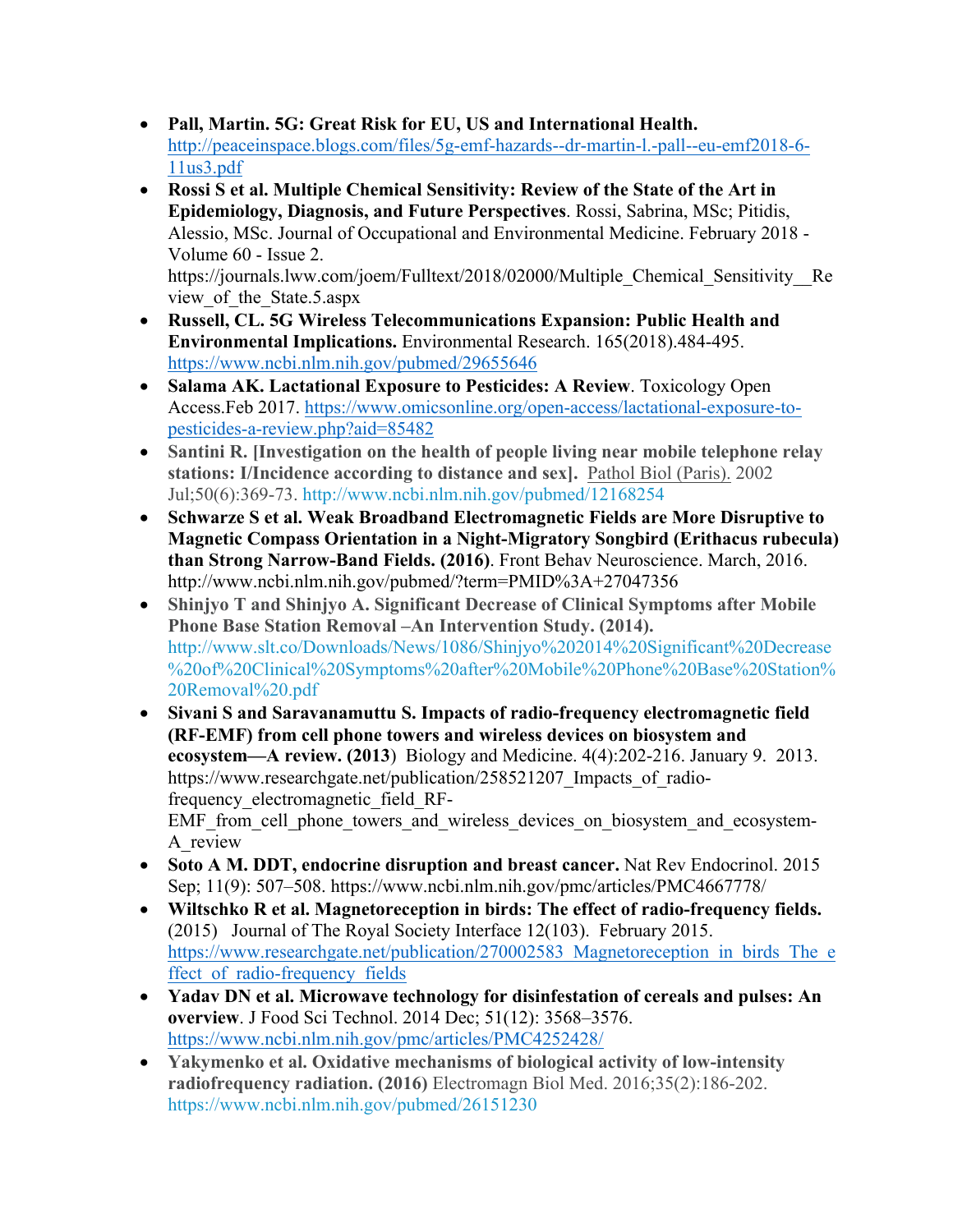- **Pall, Martin. 5G: Great Risk for EU, US and International Health.** http://peaceinspace.blogs.com/files/5g-emf-hazards--dr-martin-l.-pall--eu-emf2018-6- 11us3.pdf
- **Rossi S et al. Multiple Chemical Sensitivity: Review of the State of the Art in Epidemiology, Diagnosis, and Future Perspectives**. Rossi, Sabrina, MSc; Pitidis, Alessio, MSc. Journal of Occupational and Environmental Medicine. February 2018 - Volume 60 - Issue 2.

https://journals.lww.com/joem/Fulltext/2018/02000/Multiple Chemical Sensitivity Re view of the State.5.aspx

- **Russell, CL. 5G Wireless Telecommunications Expansion: Public Health and Environmental Implications.** Environmental Research. 165(2018).484-495. https://www.ncbi.nlm.nih.gov/pubmed/29655646
- **Salama AK. Lactational Exposure to Pesticides: A Review**. Toxicology Open Access.Feb 2017. https://www.omicsonline.org/open-access/lactational-exposure-topesticides-a-review.php?aid=85482
- **Santini R. [Investigation on the health of people living near mobile telephone relay stations: I/Incidence according to distance and sex].** Pathol Biol (Paris). 2002 Jul;50(6):369-73. http://www.ncbi.nlm.nih.gov/pubmed/12168254
- **Schwarze S et al. Weak Broadband Electromagnetic Fields are More Disruptive to Magnetic Compass Orientation in a Night-Migratory Songbird (Erithacus rubecula) than Strong Narrow-Band Fields. (2016)**. Front Behav Neuroscience. March, 2016. http://www.ncbi.nlm.nih.gov/pubmed/?term=PMID%3A+27047356
- **Shinjyo T and Shinjyo A. Significant Decrease of Clinical Symptoms after Mobile Phone Base Station Removal –An Intervention Study. (2014).** http://www.slt.co/Downloads/News/1086/Shinjyo%202014%20Significant%20Decrease %20of%20Clinical%20Symptoms%20after%20Mobile%20Phone%20Base%20Station% 20Removal%20.pdf
- **Sivani S and Saravanamuttu S. Impacts of radio-frequency electromagnetic field (RF-EMF) from cell phone towers and wireless devices on biosystem and ecosystem—A review. (2013**) Biology and Medicine. 4(4):202-216. January 9. 2013. https://www.researchgate.net/publication/258521207 Impacts of radiofrequency\_electromagnetic\_field\_RF-EMF from cell phone towers and wireless devices on biosystem and ecosystem-A\_review
- **Soto A M. DDT, endocrine disruption and breast cancer.** Nat Rev Endocrinol. 2015 Sep; 11(9): 507–508. https://www.ncbi.nlm.nih.gov/pmc/articles/PMC4667778/
- **Wiltschko R et al. Magnetoreception in birds: The effect of radio-frequency fields.** (2015) Journal of The Royal Society Interface 12(103). February 2015. https://www.researchgate.net/publication/270002583 Magnetoreception in birds The e ffect\_of\_radio-frequency\_fields
- **Yadav DN et al. Microwave technology for disinfestation of cereals and pulses: An overview**. J Food Sci Technol. 2014 Dec; 51(12): 3568–3576. https://www.ncbi.nlm.nih.gov/pmc/articles/PMC4252428/
- **Yakymenko et al. Oxidative mechanisms of biological activity of low-intensity radiofrequency radiation. (2016)** Electromagn Biol Med. 2016;35(2):186-202. https://www.ncbi.nlm.nih.gov/pubmed/26151230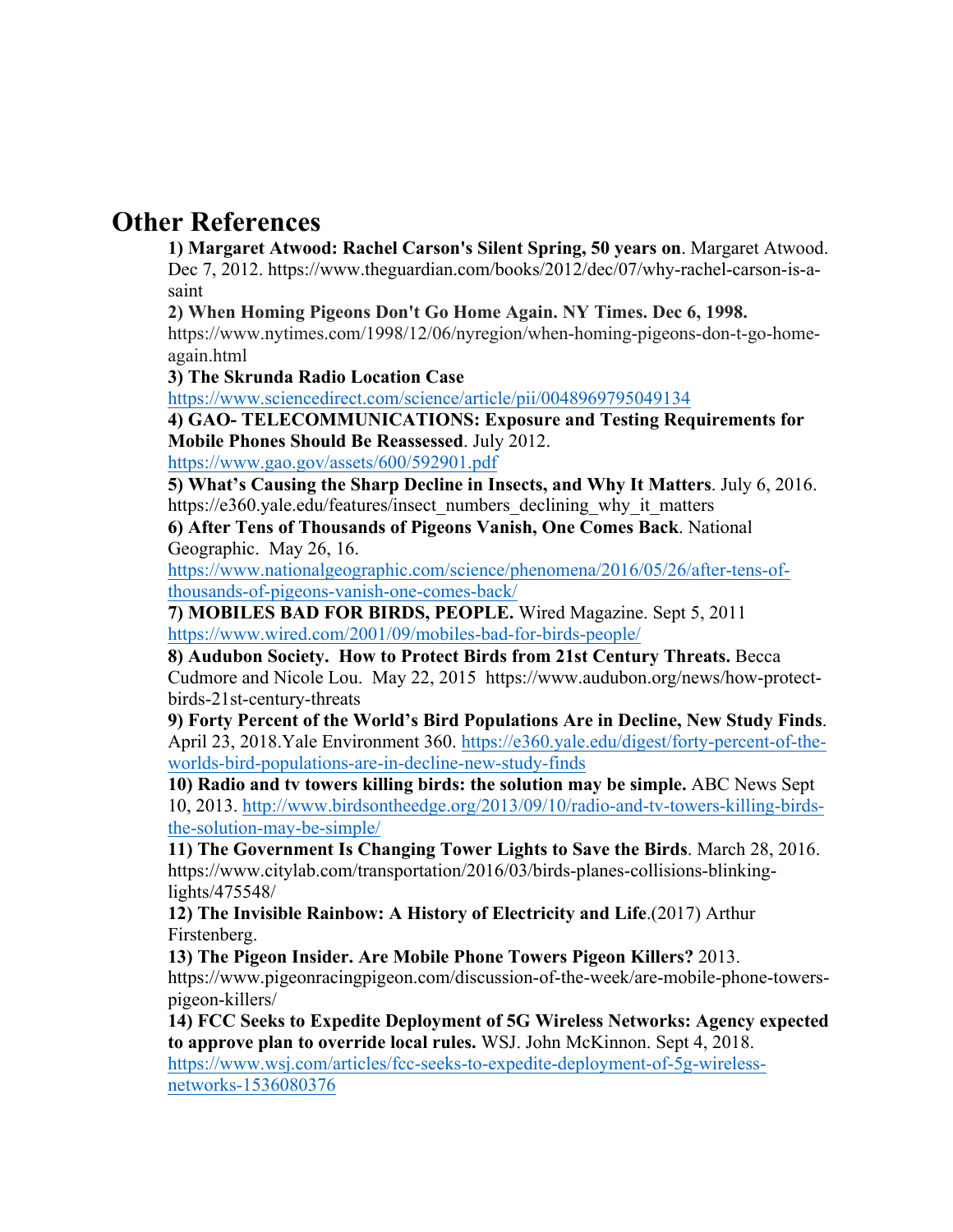# **Other References**

**1) Margaret Atwood: Rachel Carson's Silent Spring, 50 years on**. Margaret Atwood. Dec 7, 2012. https://www.theguardian.com/books/2012/dec/07/why-rachel-carson-is-asaint

**2) When Homing Pigeons Don't Go Home Again. NY Times. Dec 6, 1998.** 

https://www.nytimes.com/1998/12/06/nyregion/when-homing-pigeons-don-t-go-homeagain.html

**3) The Skrunda Radio Location Case** 

https://www.sciencedirect.com/science/article/pii/0048969795049134

**4) GAO- TELECOMMUNICATIONS: Exposure and Testing Requirements for Mobile Phones Should Be Reassessed**. July 2012.

https://www.gao.gov/assets/600/592901.pdf

**5) What's Causing the Sharp Decline in Insects, and Why It Matters**. July 6, 2016. https://e360.yale.edu/features/insect\_numbers\_declining\_why\_it\_matters

**6) After Tens of Thousands of Pigeons Vanish, One Comes Back**. National Geographic. May 26, 16.

https://www.nationalgeographic.com/science/phenomena/2016/05/26/after-tens-ofthousands-of-pigeons-vanish-one-comes-back/

**7) MOBILES BAD FOR BIRDS, PEOPLE.** Wired Magazine. Sept 5, 2011 https://www.wired.com/2001/09/mobiles-bad-for-birds-people/

**8) Audubon Society. How to Protect Birds from 21st Century Threats.** Becca Cudmore and Nicole Lou. May 22, 2015 https://www.audubon.org/news/how-protectbirds-21st-century-threats

**9) Forty Percent of the World's Bird Populations Are in Decline, New Study Finds**. April 23, 2018.Yale Environment 360. https://e360.yale.edu/digest/forty-percent-of-theworlds-bird-populations-are-in-decline-new-study-finds

**10) Radio and tv towers killing birds: the solution may be simple.** ABC News Sept 10, 2013. http://www.birdsontheedge.org/2013/09/10/radio-and-tv-towers-killing-birdsthe-solution-may-be-simple/

**11) The Government Is Changing Tower Lights to Save the Birds**. March 28, 2016. https://www.citylab.com/transportation/2016/03/birds-planes-collisions-blinkinglights/475548/

**12) The Invisible Rainbow: A History of Electricity and Life**.(2017) Arthur Firstenberg.

**13) The Pigeon Insider. Are Mobile Phone Towers Pigeon Killers?** 2013.

https://www.pigeonracingpigeon.com/discussion-of-the-week/are-mobile-phone-towerspigeon-killers/

**14) FCC Seeks to Expedite Deployment of 5G Wireless Networks: Agency expected to approve plan to override local rules.** WSJ. John McKinnon. Sept 4, 2018. https://www.wsj.com/articles/fcc-seeks-to-expedite-deployment-of-5g-wireless-

networks-1536080376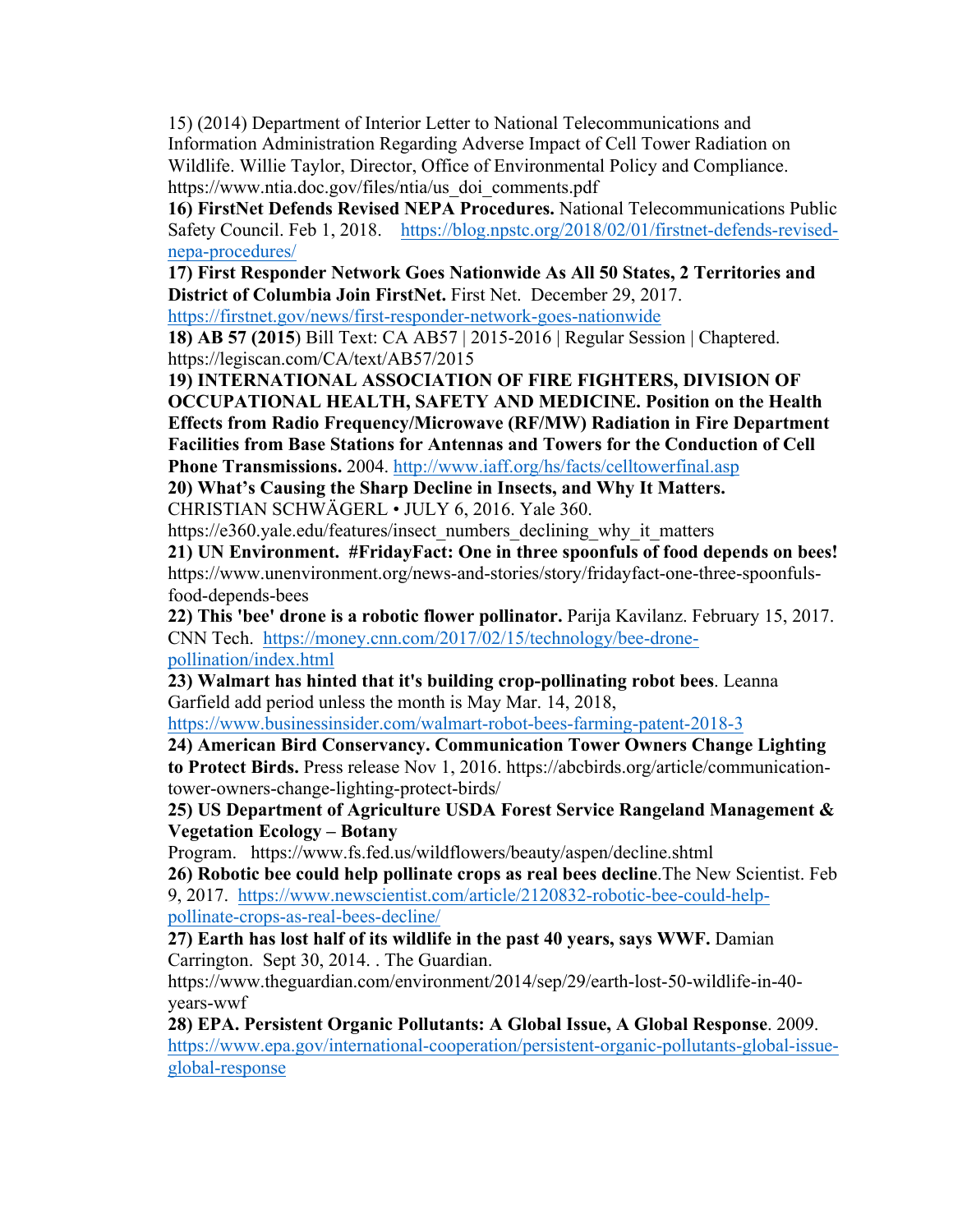15) (2014) Department of Interior Letter to National Telecommunications and Information Administration Regarding Adverse Impact of Cell Tower Radiation on Wildlife. Willie Taylor, Director, Office of Environmental Policy and Compliance. https://www.ntia.doc.gov/files/ntia/us\_doi\_comments.pdf

**16) FirstNet Defends Revised NEPA Procedures.** National Telecommunications Public Safety Council. Feb 1, 2018. https://blog.npstc.org/2018/02/01/firstnet-defends-revisednepa-procedures/

**17) First Responder Network Goes Nationwide As All 50 States, 2 Territories and District of Columbia Join FirstNet.** First Net. December 29, 2017.

https://firstnet.gov/news/first-responder-network-goes-nationwide

**18) AB 57 (2015**) Bill Text: CA AB57 | 2015-2016 | Regular Session | Chaptered. https://legiscan.com/CA/text/AB57/2015

**19) INTERNATIONAL ASSOCIATION OF FIRE FIGHTERS, DIVISION OF OCCUPATIONAL HEALTH, SAFETY AND MEDICINE. Position on the Health Effects from Radio Frequency/Microwave (RF/MW) Radiation in Fire Department Facilities from Base Stations for Antennas and Towers for the Conduction of Cell Phone Transmissions.** 2004. http://www.iaff.org/hs/facts/celltowerfinal.asp

**20) What's Causing the Sharp Decline in Insects, and Why It Matters.** 

CHRISTIAN SCHWÄGERL • JULY 6, 2016. Yale 360.

https://e360.yale.edu/features/insect\_numbers\_declining\_why\_it\_matters

**21) UN Environment. #FridayFact: One in three spoonfuls of food depends on bees!** https://www.unenvironment.org/news-and-stories/story/fridayfact-one-three-spoonfulsfood-depends-bees

**22) This 'bee' drone is a robotic flower pollinator.** Parija Kavilanz. February 15, 2017. CNN Tech. https://money.cnn.com/2017/02/15/technology/bee-dronepollination/index.html

**23) Walmart has hinted that it's building crop-pollinating robot bees**. Leanna Garfield add period unless the month is May Mar. 14, 2018,

https://www.businessinsider.com/walmart-robot-bees-farming-patent-2018-3

**24) American Bird Conservancy. Communication Tower Owners Change Lighting to Protect Birds.** Press release Nov 1, 2016. https://abcbirds.org/article/communicationtower-owners-change-lighting-protect-birds/

**25) US Department of Agriculture USDA Forest Service Rangeland Management & Vegetation Ecology – Botany**

Program. https://www.fs.fed.us/wildflowers/beauty/aspen/decline.shtml

**26) Robotic bee could help pollinate crops as real bees decline**.The New Scientist. Feb 9, 2017. https://www.newscientist.com/article/2120832-robotic-bee-could-helppollinate-crops-as-real-bees-decline/

**27) Earth has lost half of its wildlife in the past 40 years, says WWF.** Damian Carrington. Sept 30, 2014. . The Guardian.

https://www.theguardian.com/environment/2014/sep/29/earth-lost-50-wildlife-in-40 years-wwf

**28) EPA. Persistent Organic Pollutants: A Global Issue, A Global Response**. 2009. https://www.epa.gov/international-cooperation/persistent-organic-pollutants-global-issueglobal-response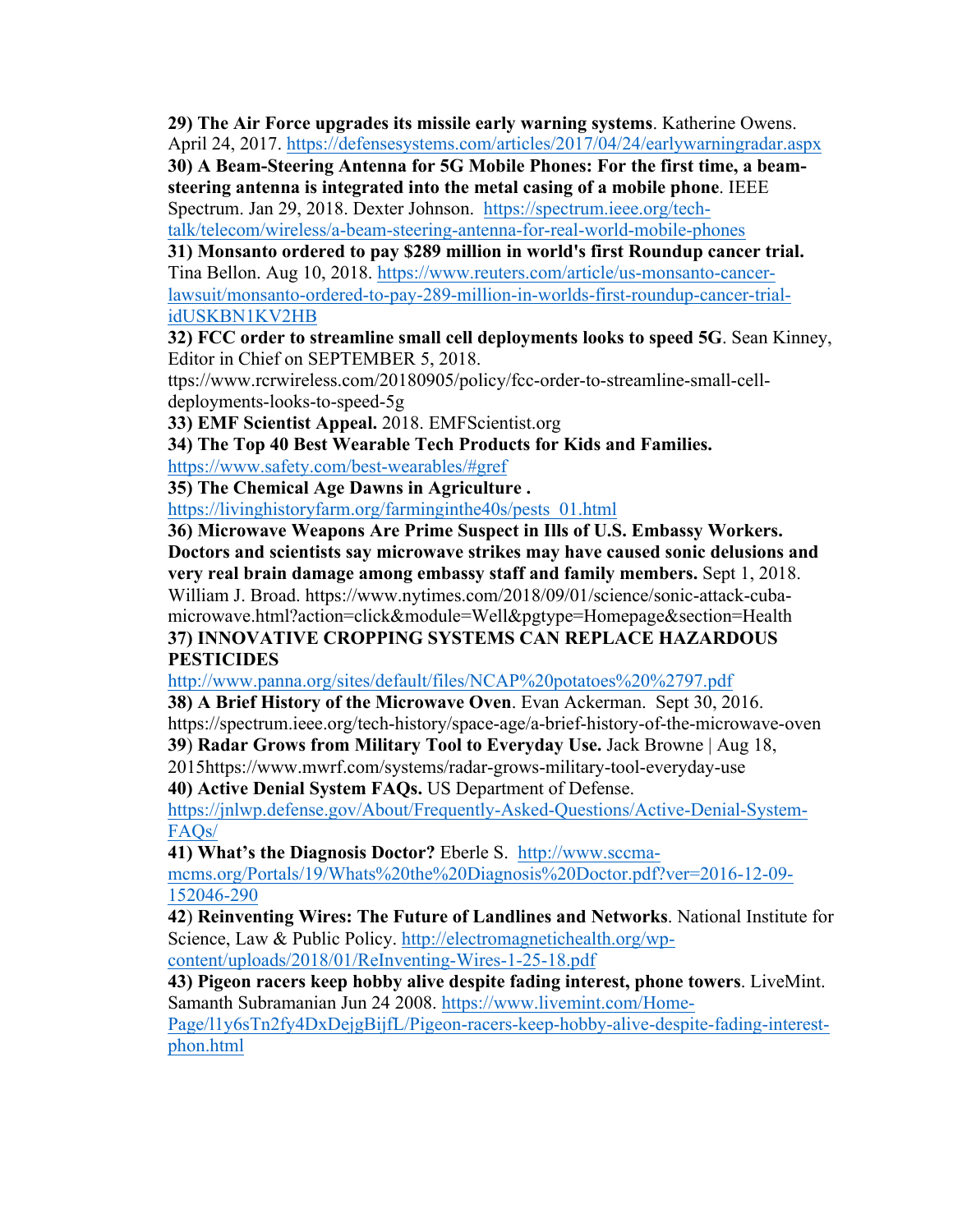**29) The Air Force upgrades its missile early warning systems**. Katherine Owens. April 24, 2017. https://defensesystems.com/articles/2017/04/24/earlywarningradar.aspx

**30) A Beam-Steering Antenna for 5G Mobile Phones: For the first time, a beamsteering antenna is integrated into the metal casing of a mobile phone**. IEEE Spectrum. Jan 29, 2018. Dexter Johnson. https://spectrum.ieee.org/tech-

talk/telecom/wireless/a-beam-steering-antenna-for-real-world-mobile-phones

**31) Monsanto ordered to pay \$289 million in world's first Roundup cancer trial.** Tina Bellon. Aug 10, 2018. https://www.reuters.com/article/us-monsanto-cancerlawsuit/monsanto-ordered-to-pay-289-million-in-worlds-first-roundup-cancer-trialidUSKBN1KV2HB

**32) FCC order to streamline small cell deployments looks to speed 5G**. Sean Kinney, Editor in Chief on SEPTEMBER 5, 2018.

ttps://www.rcrwireless.com/20180905/policy/fcc-order-to-streamline-small-celldeployments-looks-to-speed-5g

**33) EMF Scientist Appeal.** 2018. EMFScientist.org

**34) The Top 40 Best Wearable Tech Products for Kids and Families.**

https://www.safety.com/best-wearables/#gref

**35) The Chemical Age Dawns in Agriculture .**

https://livinghistoryfarm.org/farminginthe40s/pests\_01.html

**36) Microwave Weapons Are Prime Suspect in Ills of U.S. Embassy Workers. Doctors and scientists say microwave strikes may have caused sonic delusions and very real brain damage among embassy staff and family members.** Sept 1, 2018. William J. Broad. https://www.nytimes.com/2018/09/01/science/sonic-attack-cubamicrowave.html?action=click&module=Well&pgtype=Homepage&section=Health **37) INNOVATIVE CROPPING SYSTEMS CAN REPLACE HAZARDOUS PESTICIDES** 

http://www.panna.org/sites/default/files/NCAP%20potatoes%20%2797.pdf

**38) A Brief History of the Microwave Oven**. Evan Ackerman. Sept 30, 2016.

https://spectrum.ieee.org/tech-history/space-age/a-brief-history-of-the-microwave-oven

**39**) **Radar Grows from Military Tool to Everyday Use.** Jack Browne | Aug 18,

2015https://www.mwrf.com/systems/radar-grows-military-tool-everyday-use

**40) Active Denial System FAQs.** US Department of Defense.

https://jnlwp.defense.gov/About/Frequently-Asked-Questions/Active-Denial-System-FAQs/

**41) What's the Diagnosis Doctor?** Eberle S. http://www.sccmamcms.org/Portals/19/Whats%20the%20Diagnosis%20Doctor.pdf?ver=2016-12-09- 152046-290

**42**) **Reinventing Wires: The Future of Landlines and Networks**. National Institute for Science, Law & Public Policy. http://electromagnetichealth.org/wpcontent/uploads/2018/01/ReInventing-Wires-1-25-18.pdf

**43) Pigeon racers keep hobby alive despite fading interest, phone towers**. LiveMint. Samanth Subramanian Jun 24 2008. https://www.livemint.com/Home-

Page/l1y6sTn2fy4DxDejgBijfL/Pigeon-racers-keep-hobby-alive-despite-fading-interestphon.html